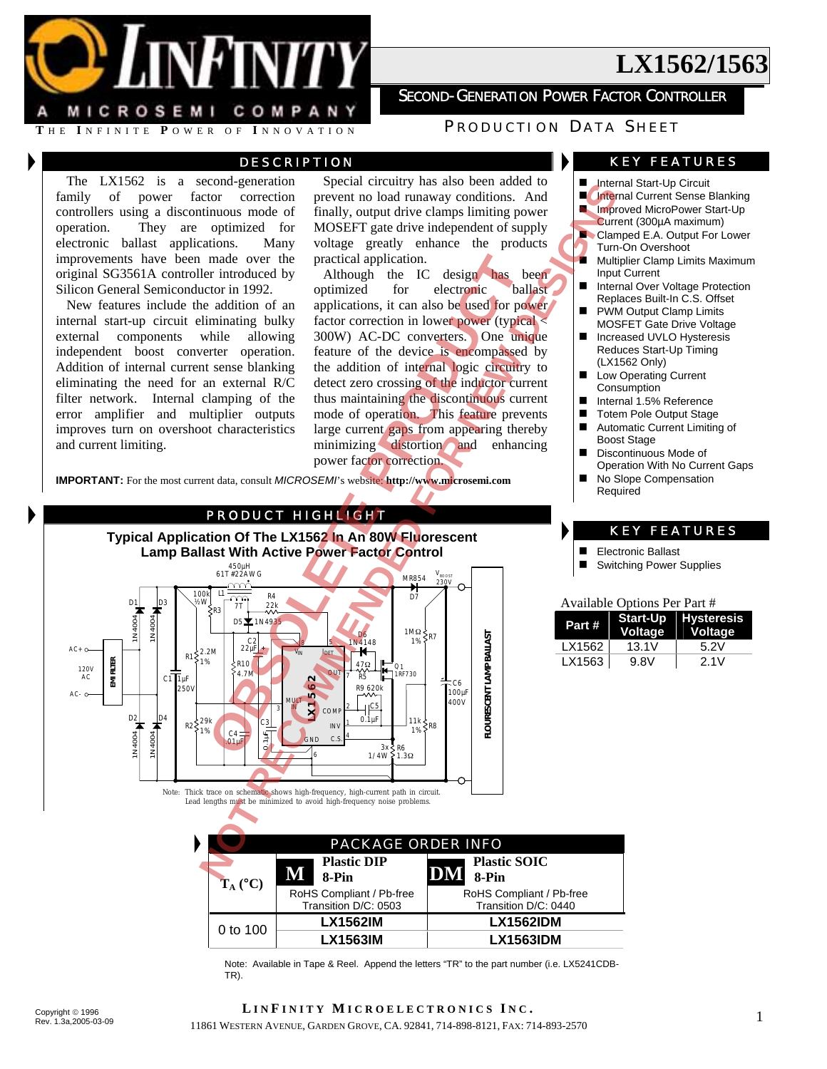MICROSEMI COMPANY

## **SECOND-GENERATION POWER FACTOR CONTROLLER**

**<sup>T</sup>** HE **<sup>I</sup>** NFINITE **<sup>P</sup>** OWER OF **<sup>I</sup>** NNOVATION P RODUCTION D ATA S HEET

## DESCRIPTION

The LX1562 is a second-generation family of power factor correction controllers using a discontinuous mode of operation. They are optimized for electronic ballast applications. Many improvements have been made over the original SG3561A controller introduced by Silicon General Semiconductor in 1992.

New features include the addition of an internal start-up circuit eliminating bulky external components while allowing independent boost converter operation. Addition of internal current sense blanking eliminating the need for an external R/C filter network. Internal clamping of the error amplifier and multiplier outputs improves turn on overshoot characteristics and current limiting.

Special circuitry has also been added to prevent no load runaway conditions. And finally, output drive clamps limiting power MOSEFT gate drive independent of supply voltage greatly enhance the products practical application.

Although the IC design has been optimized for electronic ballast applications, it can also be used for power factor correction in lower power (typical < 300W) AC-DC converters. One unique feature of the device is encompassed by the addition of internal logic circuitry to detect zero crossing of the inductor current thus maintaining the discontinuous current mode of operation. This feature prevents large current gaps from appearing thereby minimizing distortion and enhancing power factor correction.

**IMPORTANT:** For the most current data, consult *MICROSEMI*'s website: **http://www.microsemi.com**

### PRODUCT HIGHLIGHT

Notes that the main and one of the state of the state of the state of the state of the state of the state of the state of the process of the process of the process of the process of the process of the process of the proce made over the practical application.<br>
Tri introduced by Although the IC design has the rintroduced by Although the IC design has the andition of an applications, it can also be used for polyomizate and<br>
minimizing bulky f **Typical Application Of The LX1562 In An 80W Fluorescent Lamp Ballast With Active Power Factor Control**  450µH 61T #22AWG  $\mathsf{V}_{\mathsf{BoOST}}$ MR854 230V 100k L1 R4  $\widetilde{\mathbb{T}}$ D<sub>7</sub> D1 D3 ½W 22k R3 1N4004 1N4004 1N4004 D5 $\blacktriangleright$  1N4935 1MΩ D6 ≶p7 **FLOURESCENT LAMP BALLAST** 1% 22µF C2 1N4148 AC+ 8 5 V<sub>IN</sub> J<sub>DET</sub> R1 <2.2M<br>1% R10 FILTER **EMI FILTER** 47Ω Q1<br>1RF730 120V AC 4.7M OUT 7 R5  $EMI$ C<sub>1</sub> 1µF **LX1562**  $C<sub>6</sub>$  $250$ R9 620k  $100<sub>µ</sub>$  $\Delta C$ 400V MULT  $C<sub>5</sub>$ 2 3 IN COM 1N4004 B  $\frac{1}{2}$  $0.1$ uF 11k  $R2\frac{29k}{10}$ C3 INV 1 ≶po 1% 1%  $C4 =$  $\geq$  $G.S.$ 4 R6 3x 1/4W 1.3Ω 6 Note: Thick trace on schematic shows high-frequency, high-current path in circuit. Lead lengths must be minimized to avoid high-frequency noise problems.

### KEY FEATURES

- Internal Start-Up Circuit
- **Internal Current Sense Blanking**
- **Improved MicroPower Start-Up**
- Current (300µA maximum)
- **N** Clamped E.A. Output For Lower Turn-On Overshoot
- **Multiplier Clamp Limits Maximum** Input Current
- Internal Over Voltage Protection Replaces Built-In C.S. Offset
- PWM Output Clamp Limits MOSFET Gate Drive Voltage
- Increased UVLO Hysteresis Reduces Start-Up Timing (LX1562 Only)
- **Low Operating Current Consumption**
- Internal 1.5% Reference
- Totem Pole Output Stage
- Automatic Current Limiting of Boost Stage
- Discontinuous Mode of Operation With No Current Gaps
- No Slope Compensation Required

### KEY FEATURES

- Electronic Ballast<br>Electronic Bower
- Switching Power Supplies

#### Available Options Per Part #

| Part # | <b>Voltage</b> | <b>Start-Up Hysteresis</b><br><b>Voltage</b> |
|--------|----------------|----------------------------------------------|
| LX1562 | 13.1V          | 5.2V                                         |
| LX1563 | 9.8V           | 2.1V                                         |

|                   | <b>PACKAGE ORDER INFO</b>                        |                                                  |  |  |  |  |
|-------------------|--------------------------------------------------|--------------------------------------------------|--|--|--|--|
| $T_A (^{\circ}C)$ | <b>Plastic DIP</b><br>8-Pin                      | <b>Plastic SOIC</b><br>8-Pin                     |  |  |  |  |
|                   | RoHS Compliant / Pb-free<br>Transition D/C: 0503 | RoHS Compliant / Pb-free<br>Transition D/C: 0440 |  |  |  |  |
| 0 to 100          | <b>LX1562IM</b>                                  | <b>LX1562IDM</b>                                 |  |  |  |  |
|                   | <b>LX1563IM</b>                                  | <b>LX1563IDM</b>                                 |  |  |  |  |

Note: Available in Tape & Reel. Append the letters "TR" to the part number (i.e. LX5241CDB-TR).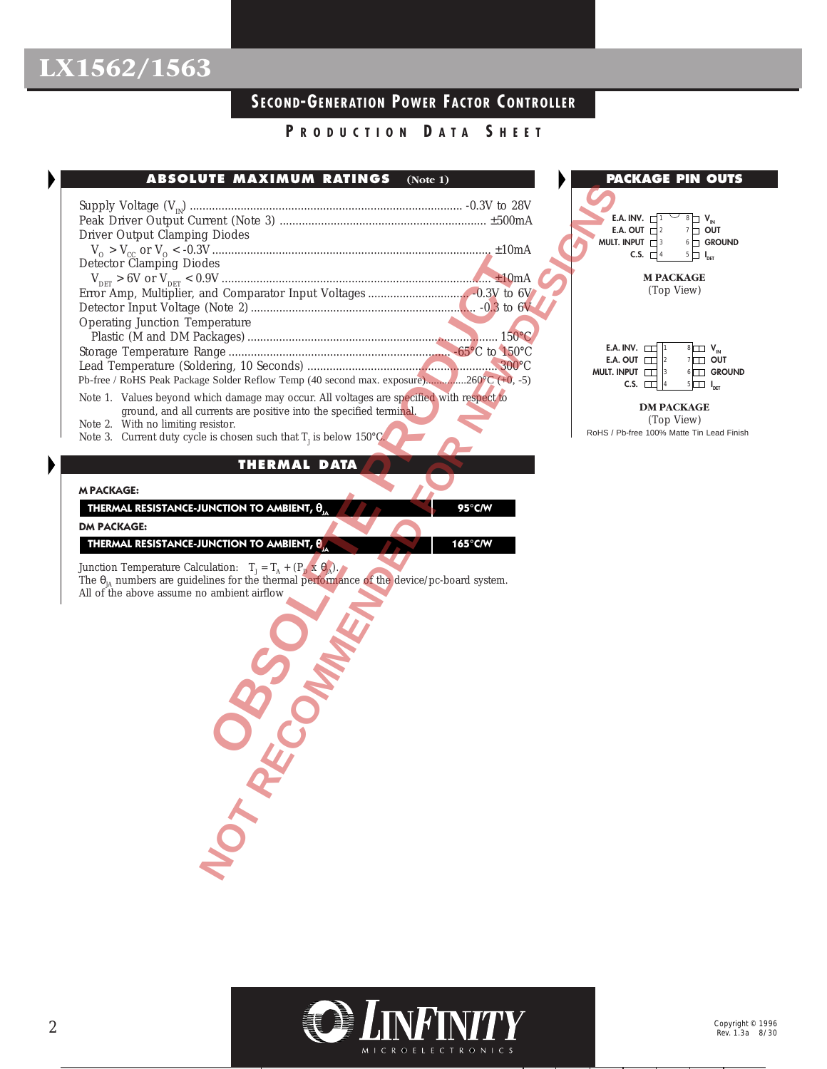## **SECOND-GENERATION POWER FACTOR C ONTROLLER**

## **P RODUCTION D ATA S HEET**

| ABSOLUTE MAXIMUM RATINGS<br>(Note 1)                                                                                                                           | PA              |
|----------------------------------------------------------------------------------------------------------------------------------------------------------------|-----------------|
|                                                                                                                                                                |                 |
|                                                                                                                                                                | E.A             |
| Driver Output Clamping Diodes                                                                                                                                  | E.A             |
|                                                                                                                                                                | MULT. I         |
| Detector Clamping Diodes                                                                                                                                       |                 |
|                                                                                                                                                                |                 |
|                                                                                                                                                                |                 |
| <b>Operating Junction Temperature</b>                                                                                                                          |                 |
|                                                                                                                                                                |                 |
|                                                                                                                                                                | E.A. I<br>E.A.  |
|                                                                                                                                                                | <b>MULT. IN</b> |
| Pb-free / RoHS Peak Package Solder Reflow Temp (40 second max. exposure)260°C (+0, -5)                                                                         |                 |
| Note 1. Values beyond which damage may occur. All voltages are specified with respect to<br>ground, and all currents are positive into the specified terminal. |                 |
| Note 2. With no limiting resistor.                                                                                                                             |                 |
| Note 3. Current duty cycle is chosen such that $T_1$ is below 150°C.                                                                                           | RoHS / Pt       |
|                                                                                                                                                                |                 |
| <b>THERMAL DATA</b>                                                                                                                                            |                 |
| <b>M PACKAGE:</b>                                                                                                                                              |                 |
| THERMAL RESISTANCE-JUNCTION TO AMBIENT, $\theta_{14}$<br>95°C/W                                                                                                |                 |
| <b>DM PACKAGE:</b>                                                                                                                                             |                 |
| THERMAL RESISTANCE-JUNCTION TO AMBIENT, $\theta_{11}$<br>165°C/W                                                                                               |                 |
| Junction Temperature Calculation: $T_j = T_A + (P_D \times \theta_{JA}).$                                                                                      |                 |
| The $\theta_{IA}$ numbers are guidelines for the thermal performance of the device/pc-board system.                                                            |                 |
| All of the above assume no ambient airflow                                                                                                                     |                 |
|                                                                                                                                                                |                 |
|                                                                                                                                                                |                 |
|                                                                                                                                                                |                 |
|                                                                                                                                                                |                 |
|                                                                                                                                                                |                 |
|                                                                                                                                                                |                 |
|                                                                                                                                                                |                 |
|                                                                                                                                                                |                 |
|                                                                                                                                                                |                 |
|                                                                                                                                                                |                 |
|                                                                                                                                                                |                 |
|                                                                                                                                                                |                 |
| NOT RY                                                                                                                                                         |                 |
|                                                                                                                                                                |                 |
|                                                                                                                                                                |                 |
|                                                                                                                                                                |                 |



(Top View) RoHS / Pb-free 100% Matte Tin Lead Finish

## **M PACKAGE:**

| THERMAL RESISTANCE-JUNCTION TO AMBIENT, $\theta_{_{\rm{JA}}}$ | $95^{\circ}$ C/W |
|---------------------------------------------------------------|------------------|
|---------------------------------------------------------------|------------------|

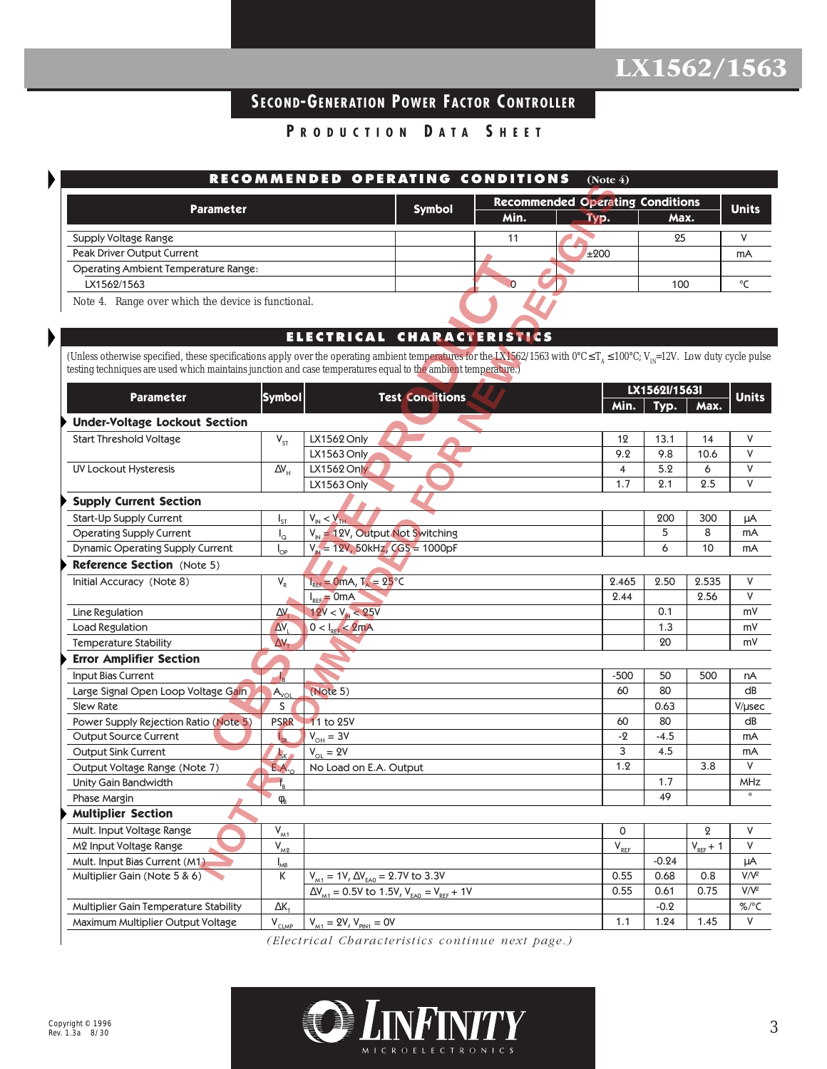## **SECOND-GENERATION POWER FACTOR C ONTROLLER**

**P RODUCTION D ATA S HEET**

| RECOMMENDED OPERATING CONDITIONS<br>(Note $4$ ) |        |                                         |              |      |        |  |  |  |
|-------------------------------------------------|--------|-----------------------------------------|--------------|------|--------|--|--|--|
| <b>Parameter</b>                                | Symbol | <b>Recommended Operating Conditions</b> | <b>Units</b> |      |        |  |  |  |
|                                                 |        | Min.                                    | TVD.         | Max. |        |  |  |  |
| Supply Voltage Range                            |        |                                         |              | 25   |        |  |  |  |
| Peak Driver Output Current                      |        |                                         | ±200         |      | mA     |  |  |  |
| <b>Operating Ambient Temperature Range:</b>     |        |                                         |              |      |        |  |  |  |
| LX1562/1563                                     |        |                                         |              | 100  | $\sim$ |  |  |  |
|                                                 |        |                                         |              |      |        |  |  |  |

## **ELECTRICAL CHARACTERISTICS**

| <b>Parameter</b>          |                                                                                                                                                                                        |                                                                                                                                                                                     |                                                                                                                                                                                           |                                                                                                               |                                                                                                             |                                                                         |                                                                                                                                                                                                                                                                                                                                     |  |
|---------------------------|----------------------------------------------------------------------------------------------------------------------------------------------------------------------------------------|-------------------------------------------------------------------------------------------------------------------------------------------------------------------------------------|-------------------------------------------------------------------------------------------------------------------------------------------------------------------------------------------|---------------------------------------------------------------------------------------------------------------|-------------------------------------------------------------------------------------------------------------|-------------------------------------------------------------------------|-------------------------------------------------------------------------------------------------------------------------------------------------------------------------------------------------------------------------------------------------------------------------------------------------------------------------------------|--|
|                           |                                                                                                                                                                                        |                                                                                                                                                                                     | Min.                                                                                                                                                                                      | Typ.                                                                                                          |                                                                                                             |                                                                         | <b>Units</b>                                                                                                                                                                                                                                                                                                                        |  |
|                           |                                                                                                                                                                                        |                                                                                                                                                                                     | 11                                                                                                                                                                                        |                                                                                                               |                                                                                                             |                                                                         | V                                                                                                                                                                                                                                                                                                                                   |  |
|                           |                                                                                                                                                                                        |                                                                                                                                                                                     |                                                                                                                                                                                           | ±200                                                                                                          |                                                                                                             |                                                                         | mA                                                                                                                                                                                                                                                                                                                                  |  |
|                           |                                                                                                                                                                                        |                                                                                                                                                                                     |                                                                                                                                                                                           |                                                                                                               |                                                                                                             |                                                                         |                                                                                                                                                                                                                                                                                                                                     |  |
|                           |                                                                                                                                                                                        |                                                                                                                                                                                     | 0                                                                                                                                                                                         |                                                                                                               |                                                                                                             |                                                                         | °C                                                                                                                                                                                                                                                                                                                                  |  |
|                           |                                                                                                                                                                                        |                                                                                                                                                                                     |                                                                                                                                                                                           |                                                                                                               |                                                                                                             |                                                                         |                                                                                                                                                                                                                                                                                                                                     |  |
|                           |                                                                                                                                                                                        |                                                                                                                                                                                     |                                                                                                                                                                                           |                                                                                                               |                                                                                                             |                                                                         |                                                                                                                                                                                                                                                                                                                                     |  |
|                           |                                                                                                                                                                                        |                                                                                                                                                                                     |                                                                                                                                                                                           |                                                                                                               |                                                                                                             |                                                                         |                                                                                                                                                                                                                                                                                                                                     |  |
|                           |                                                                                                                                                                                        |                                                                                                                                                                                     |                                                                                                                                                                                           |                                                                                                               |                                                                                                             |                                                                         |                                                                                                                                                                                                                                                                                                                                     |  |
|                           |                                                                                                                                                                                        |                                                                                                                                                                                     |                                                                                                                                                                                           |                                                                                                               |                                                                                                             |                                                                         |                                                                                                                                                                                                                                                                                                                                     |  |
|                           |                                                                                                                                                                                        |                                                                                                                                                                                     |                                                                                                                                                                                           | Min.                                                                                                          | Typ.                                                                                                        | Max.                                                                    | <b>Units</b>                                                                                                                                                                                                                                                                                                                        |  |
|                           |                                                                                                                                                                                        |                                                                                                                                                                                     |                                                                                                                                                                                           |                                                                                                               |                                                                                                             |                                                                         |                                                                                                                                                                                                                                                                                                                                     |  |
| $V_{ST}$                  | LX1562 Only                                                                                                                                                                            |                                                                                                                                                                                     |                                                                                                                                                                                           | 12                                                                                                            | 13.1                                                                                                        | 14                                                                      | V                                                                                                                                                                                                                                                                                                                                   |  |
|                           | LX1563 Only                                                                                                                                                                            |                                                                                                                                                                                     |                                                                                                                                                                                           | 9.2                                                                                                           | 9.8                                                                                                         | 10.6                                                                    | $\vee$                                                                                                                                                                                                                                                                                                                              |  |
| $\Delta V_H$              | LX1562 Only                                                                                                                                                                            |                                                                                                                                                                                     |                                                                                                                                                                                           | $\overline{4}$                                                                                                | 5.2                                                                                                         | 6                                                                       | $\vee$                                                                                                                                                                                                                                                                                                                              |  |
|                           | LX1563 Only                                                                                                                                                                            |                                                                                                                                                                                     |                                                                                                                                                                                           | 1.7                                                                                                           | 2.1                                                                                                         | 2.5                                                                     | V                                                                                                                                                                                                                                                                                                                                   |  |
|                           |                                                                                                                                                                                        |                                                                                                                                                                                     |                                                                                                                                                                                           |                                                                                                               |                                                                                                             |                                                                         |                                                                                                                                                                                                                                                                                                                                     |  |
| $I_{ST}$                  | $V_{N}$ < $V_{TH}$                                                                                                                                                                     |                                                                                                                                                                                     |                                                                                                                                                                                           |                                                                                                               | 200                                                                                                         | 300                                                                     | μA                                                                                                                                                                                                                                                                                                                                  |  |
| $I_{\alpha}$              |                                                                                                                                                                                        |                                                                                                                                                                                     |                                                                                                                                                                                           |                                                                                                               | 5                                                                                                           | 8                                                                       | mA                                                                                                                                                                                                                                                                                                                                  |  |
| $I_{\text{OP}}$           | $V_{N} = 12V$ , 50kHz, CGS = 1000pF                                                                                                                                                    |                                                                                                                                                                                     |                                                                                                                                                                                           |                                                                                                               | 6                                                                                                           | 10                                                                      | mA                                                                                                                                                                                                                                                                                                                                  |  |
|                           |                                                                                                                                                                                        |                                                                                                                                                                                     |                                                                                                                                                                                           |                                                                                                               |                                                                                                             |                                                                         |                                                                                                                                                                                                                                                                                                                                     |  |
| $V_R$                     |                                                                                                                                                                                        |                                                                                                                                                                                     |                                                                                                                                                                                           | 2.465                                                                                                         | 2.50                                                                                                        | 2.535                                                                   | V                                                                                                                                                                                                                                                                                                                                   |  |
|                           | $I_{REF} = OmA$                                                                                                                                                                        |                                                                                                                                                                                     |                                                                                                                                                                                           | 2.44                                                                                                          |                                                                                                             | 2.56                                                                    | V                                                                                                                                                                                                                                                                                                                                   |  |
| ΔV,                       |                                                                                                                                                                                        |                                                                                                                                                                                     |                                                                                                                                                                                           |                                                                                                               | 0.1                                                                                                         |                                                                         | m٧                                                                                                                                                                                                                                                                                                                                  |  |
| $\Delta V$                |                                                                                                                                                                                        |                                                                                                                                                                                     |                                                                                                                                                                                           |                                                                                                               | 1.3                                                                                                         |                                                                         | m٧                                                                                                                                                                                                                                                                                                                                  |  |
| $\Delta V_{\tau}$         |                                                                                                                                                                                        |                                                                                                                                                                                     |                                                                                                                                                                                           |                                                                                                               |                                                                                                             |                                                                         | m٧                                                                                                                                                                                                                                                                                                                                  |  |
|                           |                                                                                                                                                                                        |                                                                                                                                                                                     |                                                                                                                                                                                           |                                                                                                               |                                                                                                             |                                                                         |                                                                                                                                                                                                                                                                                                                                     |  |
| $\mathsf{I}_{\mathsf{B}}$ |                                                                                                                                                                                        |                                                                                                                                                                                     |                                                                                                                                                                                           | $-500$                                                                                                        | 50                                                                                                          | 500                                                                     | nA                                                                                                                                                                                                                                                                                                                                  |  |
|                           |                                                                                                                                                                                        |                                                                                                                                                                                     |                                                                                                                                                                                           |                                                                                                               |                                                                                                             |                                                                         | dB                                                                                                                                                                                                                                                                                                                                  |  |
|                           |                                                                                                                                                                                        |                                                                                                                                                                                     |                                                                                                                                                                                           |                                                                                                               |                                                                                                             |                                                                         | V/µsec                                                                                                                                                                                                                                                                                                                              |  |
|                           |                                                                                                                                                                                        |                                                                                                                                                                                     |                                                                                                                                                                                           |                                                                                                               |                                                                                                             |                                                                         | dB                                                                                                                                                                                                                                                                                                                                  |  |
|                           |                                                                                                                                                                                        |                                                                                                                                                                                     |                                                                                                                                                                                           |                                                                                                               |                                                                                                             |                                                                         | mA                                                                                                                                                                                                                                                                                                                                  |  |
|                           |                                                                                                                                                                                        |                                                                                                                                                                                     |                                                                                                                                                                                           |                                                                                                               |                                                                                                             |                                                                         | mA<br>V                                                                                                                                                                                                                                                                                                                             |  |
|                           |                                                                                                                                                                                        |                                                                                                                                                                                     |                                                                                                                                                                                           |                                                                                                               |                                                                                                             |                                                                         | MHz                                                                                                                                                                                                                                                                                                                                 |  |
|                           |                                                                                                                                                                                        |                                                                                                                                                                                     |                                                                                                                                                                                           |                                                                                                               |                                                                                                             |                                                                         | $\circ$                                                                                                                                                                                                                                                                                                                             |  |
|                           |                                                                                                                                                                                        |                                                                                                                                                                                     |                                                                                                                                                                                           |                                                                                                               |                                                                                                             |                                                                         |                                                                                                                                                                                                                                                                                                                                     |  |
|                           |                                                                                                                                                                                        |                                                                                                                                                                                     |                                                                                                                                                                                           |                                                                                                               |                                                                                                             |                                                                         | V                                                                                                                                                                                                                                                                                                                                   |  |
|                           |                                                                                                                                                                                        |                                                                                                                                                                                     |                                                                                                                                                                                           |                                                                                                               |                                                                                                             |                                                                         | V                                                                                                                                                                                                                                                                                                                                   |  |
|                           |                                                                                                                                                                                        |                                                                                                                                                                                     |                                                                                                                                                                                           |                                                                                                               |                                                                                                             |                                                                         | μA                                                                                                                                                                                                                                                                                                                                  |  |
|                           |                                                                                                                                                                                        |                                                                                                                                                                                     |                                                                                                                                                                                           |                                                                                                               |                                                                                                             | 0.8                                                                     | $V/V^2$                                                                                                                                                                                                                                                                                                                             |  |
|                           | $\overline{\Delta V_{M1}}$ = 0.5V to 1.5V, $V_{EAO} = V_{REF} + 1V$                                                                                                                    |                                                                                                                                                                                     |                                                                                                                                                                                           | 0.55                                                                                                          | 0.61                                                                                                        | 0.75                                                                    | V/V <sup>2</sup>                                                                                                                                                                                                                                                                                                                    |  |
|                           |                                                                                                                                                                                        |                                                                                                                                                                                     |                                                                                                                                                                                           |                                                                                                               |                                                                                                             |                                                                         |                                                                                                                                                                                                                                                                                                                                     |  |
| $\Delta K_{\tau}$         |                                                                                                                                                                                        |                                                                                                                                                                                     |                                                                                                                                                                                           |                                                                                                               | $-0.2$                                                                                                      |                                                                         | %/°C                                                                                                                                                                                                                                                                                                                                |  |
|                           | $A_{\text{vol}}$<br>S<br><b>PSRR</b><br>$I_{cb}$<br>$\frac{1}{SK}$<br>E.A. <sub>O</sub><br>$f_B$<br>$\varphi_{\text{B}}$<br>$\bar{V}_{\underline{M1}}$<br>$V_{M2}$<br>$\int_{MB}$<br>К | Note 4. Range over which the device is functional.<br><b>Symbol</b><br>$12V < V_{N} < 25V$<br>$0 < I_{\text{RFF}} < 2mA$<br>(Note 5)<br>11 to 25V<br>$V_{OH} = 3V$<br>$V_{OL} = 2V$ | <b>Symbol</b><br><b>Test Conditions</b><br>$V_{N}$ = 12V, Output Not Switching<br>$I_{REF}$ = 0mA, $T_A$ = 25°C<br>No Load on E.A. Output<br>$V_{M1} = 1V, \Delta V_{EAO} = 2.7V$ to 3.3V | testing techniques are used which maintains junction and case temperatures equal to the ambient temperature.) | <u>.</u><br>(110)(1)<br>ELECTRICAL CHARACTERISTICS<br>60<br>60<br>$-2$<br>3<br>1.2<br>0<br>$V_{RF}$<br>0.55 | 20<br>80<br>0.63<br>80<br>$-4.5$<br>4.5<br>1.7<br>49<br>$-0.24$<br>0.68 | <b>Recommended Operating Conditions</b><br>Max.<br>25<br>100<br>(Unless otherwise specified, these specifications apply over the operating ambient temperatures for the LX1562/1563 with 0°C $\leq T_A \leq 100^{\circ}C$ ; $V_{\text{av}}=12V$ . Low duty cycle pulse<br>LX1562l/1563l<br>3.8<br>$\boldsymbol{2}$<br>$V_{REF} + 1$ |  |

*(Electrical Characteristics continue next page.)*

MICROELECTRONICS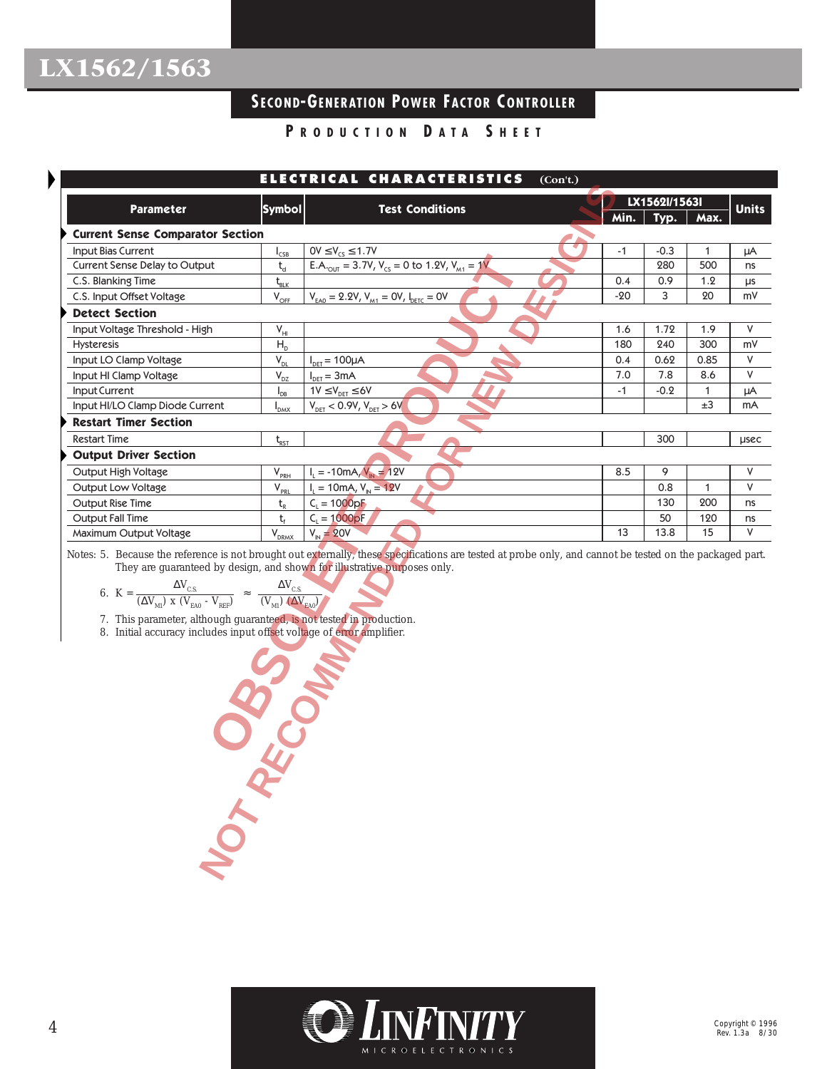Þ

## **SECOND-GENERATION POWER FACTOR C ONTROLLER**

**P RODUCTION D ATA S HEET**

|                                                                                                                                                                                                                                                                                                                                         |                                  | ELECTRICAL CHARACTERISTICS                                                                                                                                                                                                           | (Con't.) |              |               |              |              |
|-----------------------------------------------------------------------------------------------------------------------------------------------------------------------------------------------------------------------------------------------------------------------------------------------------------------------------------------|----------------------------------|--------------------------------------------------------------------------------------------------------------------------------------------------------------------------------------------------------------------------------------|----------|--------------|---------------|--------------|--------------|
| Parameter                                                                                                                                                                                                                                                                                                                               | <b>Symbol</b>                    | <b>Test Conditions</b>                                                                                                                                                                                                               |          |              | LX1562l/1563l |              | <b>Units</b> |
|                                                                                                                                                                                                                                                                                                                                         |                                  |                                                                                                                                                                                                                                      |          | Min.         | Typ.          | Max.         |              |
| <b>Current Sense Comparator Section</b>                                                                                                                                                                                                                                                                                                 |                                  |                                                                                                                                                                                                                                      |          |              |               |              |              |
| Input Bias Current                                                                                                                                                                                                                                                                                                                      | $I_{CSB}$                        | $OV \le V_{CS} \le 1.7V$                                                                                                                                                                                                             |          | $-1$         | $-0.3$<br>280 | $\mathbf{1}$ | μA           |
| Current Sense Delay to Output                                                                                                                                                                                                                                                                                                           | $t_{d}$                          | E.A. <sub>OUT</sub> = 3.7V, $V_{CS}$ = 0 to 1.2V, $V_{M1}$ = 1V                                                                                                                                                                      |          |              |               | 500          | ns           |
| C.S. Blanking Time                                                                                                                                                                                                                                                                                                                      | $t_{BLK}$                        |                                                                                                                                                                                                                                      |          | 0.4<br>$-20$ | 0.9<br>3      | 1.2<br>20    | μs<br>m٧     |
| C.S. Input Offset Voltage                                                                                                                                                                                                                                                                                                               | $V_{\text{OFF}}$                 | $V_{EAO} = 2.2V, V_{M1} = 0V, I_{DETC} = 0V$                                                                                                                                                                                         |          |              |               |              |              |
| <b>Detect Section</b>                                                                                                                                                                                                                                                                                                                   |                                  |                                                                                                                                                                                                                                      |          |              |               |              |              |
| Input Voltage Threshold - High                                                                                                                                                                                                                                                                                                          | $V_{HI}$                         |                                                                                                                                                                                                                                      |          | 1.6          | 1.72          | 1.9          | ٧            |
| Hysteresis                                                                                                                                                                                                                                                                                                                              | $H_{\text{D}}$                   |                                                                                                                                                                                                                                      |          | 180          | 240           | 300          | m٧           |
| Input LO Clamp Voltage                                                                                                                                                                                                                                                                                                                  | $\mathsf{V}_{\mathsf{DL}}$       | $I_{DET} = 100 \mu A$                                                                                                                                                                                                                |          | 0.4<br>7.0   | 0.62<br>7.8   | 0.85<br>8.6  | ٧<br>V       |
| Input HI Clamp Voltage                                                                                                                                                                                                                                                                                                                  | $\bar{V}_{\underline{DZ}}$       | $I_{DET} = 3mA$                                                                                                                                                                                                                      |          | $-1$         |               |              |              |
| Input Current<br>Input HI/LO Clamp Diode Current                                                                                                                                                                                                                                                                                        | $I_{DB}$                         | $1V \leq V_{DET} \leq 6V$                                                                                                                                                                                                            |          |              | $-0.2$        | 1<br>±3      | μA<br>mA     |
|                                                                                                                                                                                                                                                                                                                                         | $I_{\text{DMX}}$                 | $V_{DET}$ < 0.9V, $V_{DET}$ > 6V                                                                                                                                                                                                     |          |              |               |              |              |
| <b>Restart Timer Section</b>                                                                                                                                                                                                                                                                                                            |                                  |                                                                                                                                                                                                                                      |          |              |               |              |              |
| <b>Restart Time</b>                                                                                                                                                                                                                                                                                                                     | $t_{RST}$                        |                                                                                                                                                                                                                                      |          |              | 300           |              | <b>LISEC</b> |
| <b>Output Driver Section</b>                                                                                                                                                                                                                                                                                                            |                                  |                                                                                                                                                                                                                                      |          |              |               |              |              |
| Output High Voltage                                                                                                                                                                                                                                                                                                                     | $V_{PRH}$                        | $I_L = -10mA, V_N = 12V$                                                                                                                                                                                                             |          | 8.5          | 9             |              | V            |
| Output Low Voltage                                                                                                                                                                                                                                                                                                                      | $V_{PRL}$                        | $I_L = 10$ mA, $V_N = 12V$                                                                                                                                                                                                           |          |              | 0.8           | 1            | V            |
| Output Rise Time                                                                                                                                                                                                                                                                                                                        | $t_{R}$                          | $C_1 = 1000pF$                                                                                                                                                                                                                       |          |              | 130           | 200          | ns           |
| <b>Output Fall Time</b><br>Maximum Output Voltage                                                                                                                                                                                                                                                                                       | $t_{\rm f}$<br>V <sub>DRMX</sub> | $C_1 = 1000pF$<br>$V_{N} = 20V$                                                                                                                                                                                                      |          | 13           | 50<br>13.8    | 120<br>15    | ns<br>V      |
| 6. $K = \frac{\Delta V_{\text{C.S.}}}{(\Delta V_{\text{M1}}) \times (V_{\text{EAO}} - V_{\text{REF}})} \approx \frac{\Delta V_{\text{C.S.}}}{(V_{\text{M1}}) (\Delta V_{\text{EAO}})}$<br>7. This parameter, although guaranteed, is not tested in production.<br>8. Initial accuracy includes input offset voltage of error amplifier. |                                  | Notes: 5. Because the reference is not brought out externally, these specifications are tested at probe only, and cannot be tested on the packaged part.<br>They are guaranteed by design, and shown for illustrative purposes only. |          |              |               |              |              |
|                                                                                                                                                                                                                                                                                                                                         |                                  | <b>RADOS</b>                                                                                                                                                                                                                         |          |              |               |              |              |
| NOT RE                                                                                                                                                                                                                                                                                                                                  |                                  |                                                                                                                                                                                                                                      |          |              |               |              |              |

6.  $K = \frac{\Delta V_{CS}}{\Delta V_{CS}}$  $(\Delta V_{M1})$  x ( $V_{EAO}$  -  $V_{REF}$ )  $\Delta\rm {V_{C.S.}}$  $(V_{M1})$  ( $\Delta V_{EAO}$ )

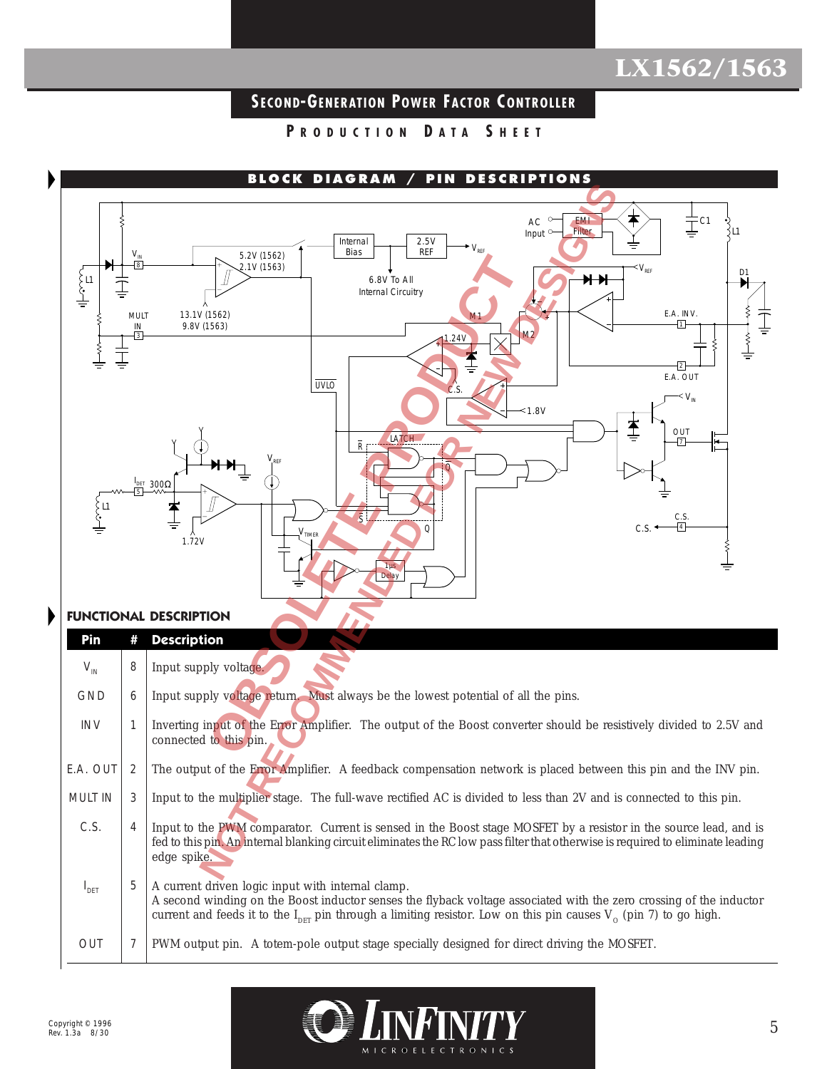## **SECOND-GENERATION POWER FACTOR C ONTROLLER**

**P RODUCTION D ATA S HEET**



### **FUNCTIONAL DESCRIPTION**

| Pin              |   | <b>Description</b>                                                                                                                                                                                                                                                                                         |
|------------------|---|------------------------------------------------------------------------------------------------------------------------------------------------------------------------------------------------------------------------------------------------------------------------------------------------------------|
| $V_{IN}$         | 8 | Input supply voltage.                                                                                                                                                                                                                                                                                      |
| <b>GND</b>       | 6 | Input supply voltage return. Must always be the lowest potential of all the pins.                                                                                                                                                                                                                          |
| <b>INV</b>       |   | Inverting input of the Error Amplifier. The output of the Boost converter should be resistively divided to 2.5V and<br>connected to this pin.                                                                                                                                                              |
| E.A. OUT         |   | The output of the Error Amplifier. A feedback compensation network is placed between this pin and the INV pin.                                                                                                                                                                                             |
| <b>MULT IN</b>   | 3 | Input to the multiplier stage. The full-wave rectified AC is divided to less than 2V and is connected to this pin.                                                                                                                                                                                         |
| C.S.             | 4 | Input to the PWM comparator. Current is sensed in the Boost stage MOSFET by a resistor in the source lead, and is<br>fed to this pin. An internal blanking circuit eliminates the RC low pass filter that otherwise is required to eliminate leading<br>edge spike.                                        |
| $I_{\text{DET}}$ | 5 | A current driven logic input with internal clamp.<br>A second winding on the Boost inductor senses the flyback voltage associated with the zero crossing of the inductor<br>current and feeds it to the $I_{\text{DFT}}$ pin through a limiting resistor. Low on this pin causes $V_0$ (pin 7) to go high. |
| <b>OUT</b>       |   | PWM output pin. A totem-pole output stage specially designed for direct driving the MOSFET.                                                                                                                                                                                                                |

MICROELECT

**RONICS**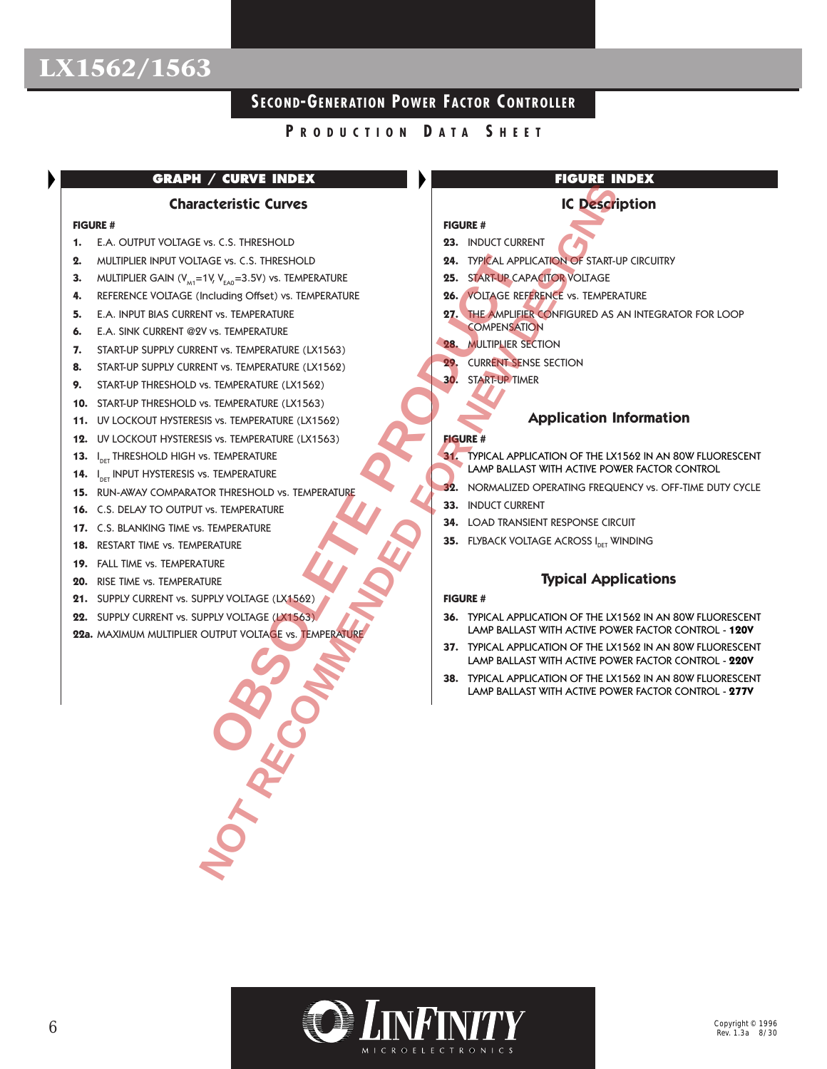## **SECOND-GENERATION POWER FACTOR C ONTROLLER**

### **P RODUCTION D ATA S HEET**

### **GRAPH / CURVE INDEX**

### **Characteristic Curves**

#### **FIGURE #**

- **1.** E.A. OUTPUT VOLTAGE vs. C.S. THRESHOLD
- **2.** MULTIPLIER INPUT VOLTAGE vs. C.S. THRESHOLD
- **3.** MULTIPLIER GAIN ( $V_{M1}$ =1V,  $V_{EAO}$ =3.5V) vs. TEMPERATURE
- **4.** REFERENCE VOLTAGE (Including Offset) vs. TEMPERATURE
- **5.** E.A. INPUT BIAS CURRENT vs. TEMPERATURE
- **6.** E.A. SINK CURRENT @2V vs. TEMPERATURE
- **7.** START-UP SUPPLY CURRENT vs. TEMPERATURE (LX1563)
- **8.** START-UP SUPPLY CURRENT vs. TEMPERATURE (LX1562)
- **9.** START-UP THRESHOLD vs. TEMPERATURE (LX1562)
- **10.** START-UP THRESHOLD vs. TEMPERATURE (LX1563)
- **11.** UV LOCKOUT HYSTERESIS vs. TEMPERATURE (LX1562)
- **12.** UV LOCKOUT HYSTERESIS vs. TEMPERATURE (LX1563)
- $13.$ I<sub>DET</sub> THRESHOLD HIGH vs. TEMPERATURE
- **14.** I<sub>DET</sub> INPUT HYSTERESIS vs. TEMPERATURE
- **15.** RUN-AWAY COMPARATOR THRESHOLD vs. TEMPERATURE
- **16.** C.S. DELAY TO OUTPUT vs. TEMPERATURE
- **17.** C.S. BLANKING TIME vs. TEMPERATURE
- **18.** RESTART TIME vs. TEMPERATURE
- **19.** FALL TIME vs. TEMPERATURE
- **20.** RISE TIME vs. TEMPERATURE
- **21.** SUPPLY CURRENT vs. SUPPLY VOLTAGE (LX1562)
- **22.** SUPPLY CURRENT vs. SUPPLY VOLTAGE (LX1563)
- **22a.** MAXIMUM MULTIPLIER OUTPUT VOLTAGE vs. TEMPERATURE

### **FIGURE INDEX**

### **IC Description**

- **FIGURE # 23.** INDUCT CURRENT
- **24.** TYPICAL APPLICATION OF START-UP CIRCUITRY
- **25.** START-UP CAPACITOR VOLTAGE
- **26.** VOLTAGE REFERENCE vs. TEMPERATURE
- **27.** THE AMPLIFIER CONFIGURED AS AN INTEGRATOR FOR LOOP **COMPENSATION** GE vs. C.S. THRESHOLD<br>
CIUMING Offeit (ST. TEMPERATURE<br>
TIVS. TEMPERATURE<br>
TIVS. TEMPERATURE<br>
TIVS. TEMPERATURE<br>
TIVS. TEMPERATURE (LX1563)<br>
SVS. TEMPERATURE (LX1563)<br>
SVS. TEMPERATURE (LX1563)<br>
SVS. TEMPERATURE (LX1563)<br> **NOTE AND THE SET ON THE SET ON THE SET ON THE SET ON THE SET ON THE SET ON THE SET ON TEMPERATURE**<br>
IN A TEMPERATURE (X1562)<br>
NOTE AND TEMPERATURE (X1562)<br>
NOTE AND TEMPERATURE (X1562)<br>
NOTE AND TEMPERATURE (X1562)<br>
NOTE
	- **28.** MULTIPLIER SECTION
	- **29.** CURRENT SENSE SECTION
	- **30.** START-UP TIMER

### **Application Information**

### **FIGURE #**

- **31.** TYPICAL APPLICATION OF THE LX1562 IN AN 80W FLUORESCENT LAMP BALLAST WITH ACTIVE POWER FACTOR CONTROL
- **32.** NORMALIZED OPERATING FREQUENCY vs. OFF-TIME DUTY CYCLE
- **33.** INDUCT CURRENT
- **34.** LOAD TRANSIENT RESPONSE CIRCUIT
- **35.** FLYBACK VOLTAGE ACROSS I<sub>DET</sub> WINDING

### **Typical Applications**

### **FIGURE #**

- **36.** TYPICAL APPLICATION OF THE LX1562 IN AN 80W FLUORESCENT LAMP BALLAST WITH ACTIVE POWER FACTOR CONTROL - **120V**
- **37.** TYPICAL APPLICATION OF THE LX1562 IN AN 80W FLUORESCENT LAMP BALLAST WITH ACTIVE POWER FACTOR CONTROL - **220V**
- **38.** TYPICAL APPLICATION OF THE LX1562 IN AN 80W FLUORESCENT LAMP BALLAST WITH ACTIVE POWER FACTOR CONTROL - **277V**

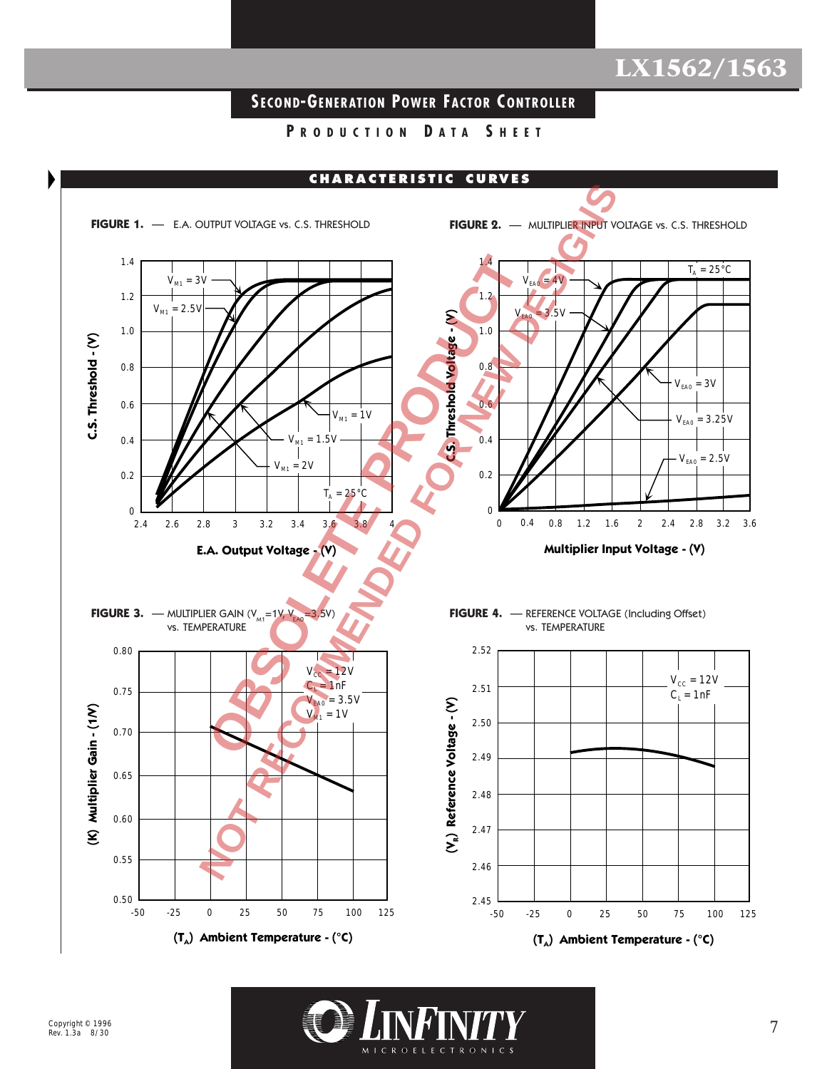## **SECOND-GENERATION POWER FACTOR C ONTROLLER**

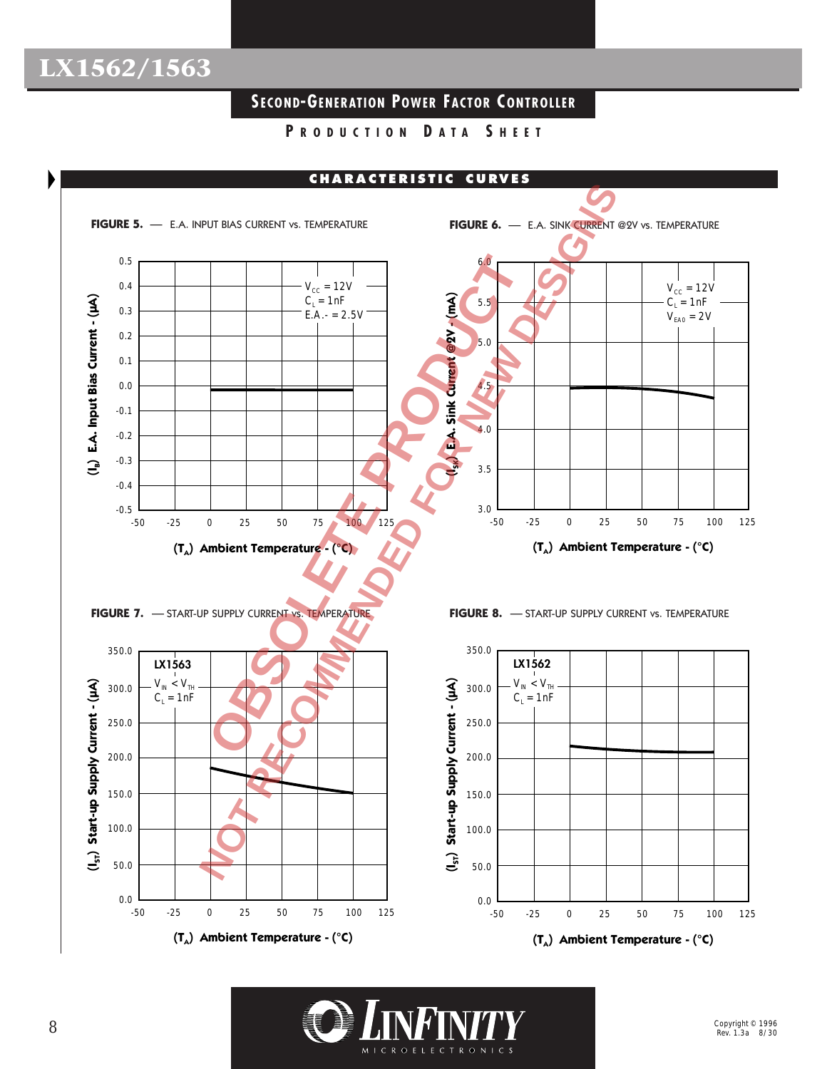## **SECOND-GENERATION POWER FACTOR C ONTROLLER**



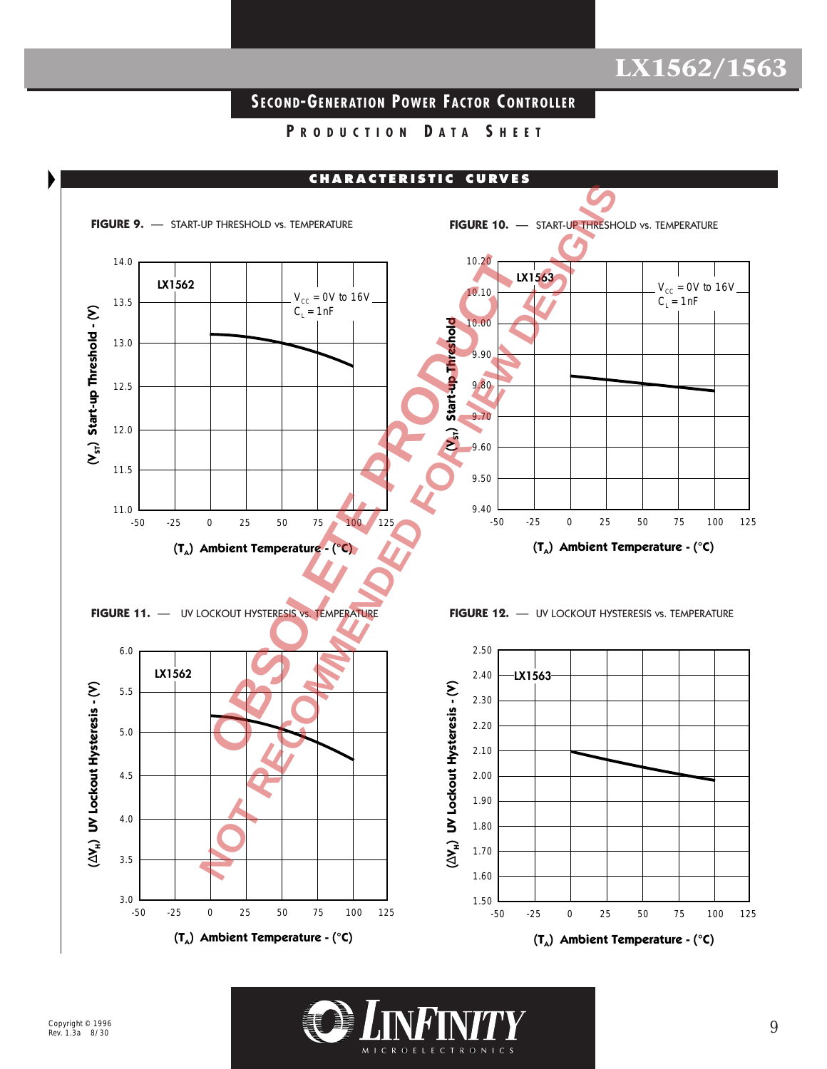## **SECOND-GENERATION POWER FACTOR C ONTROLLER**

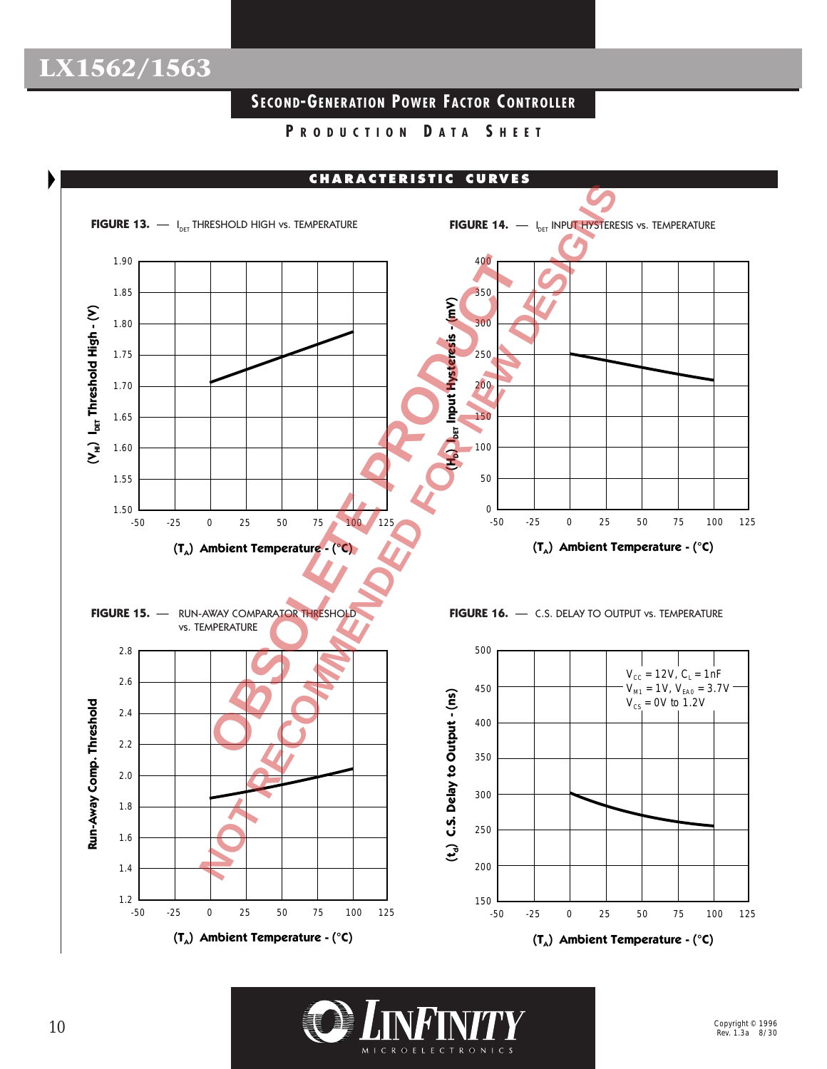## **SECOND-GENERATION POWER FACTOR C ONTROLLER**



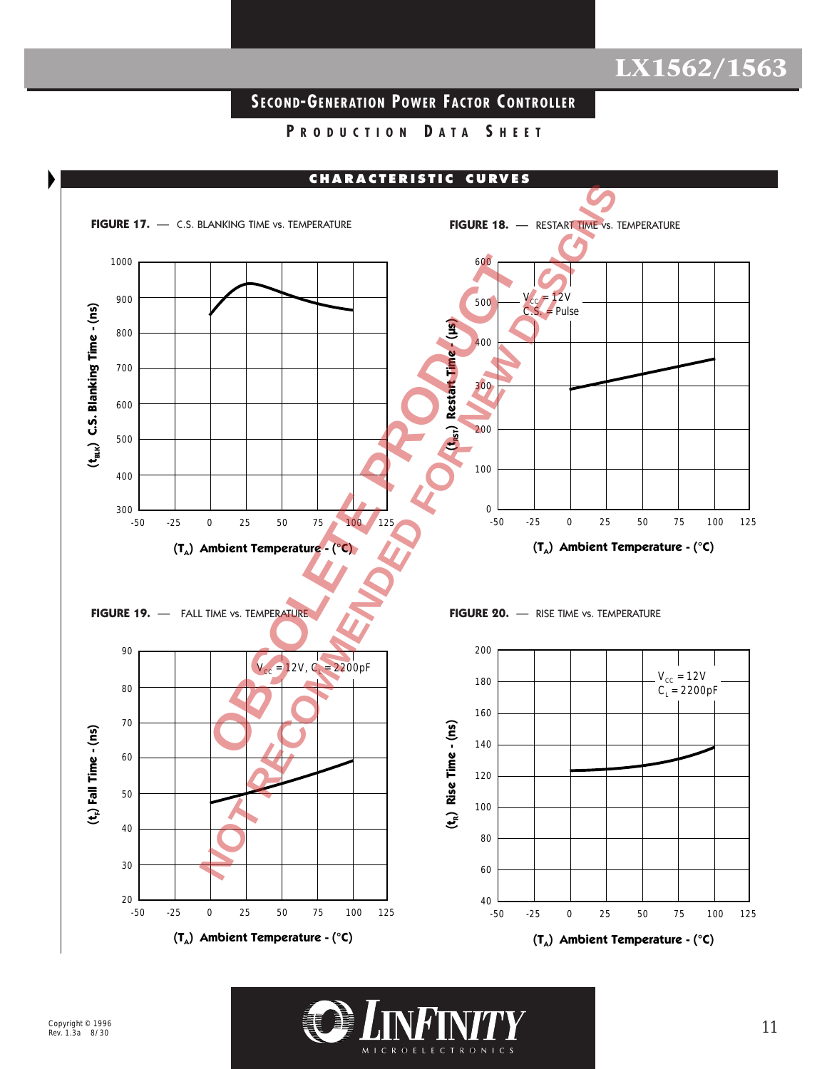## **SECOND-GENERATION POWER FACTOR C ONTROLLER**



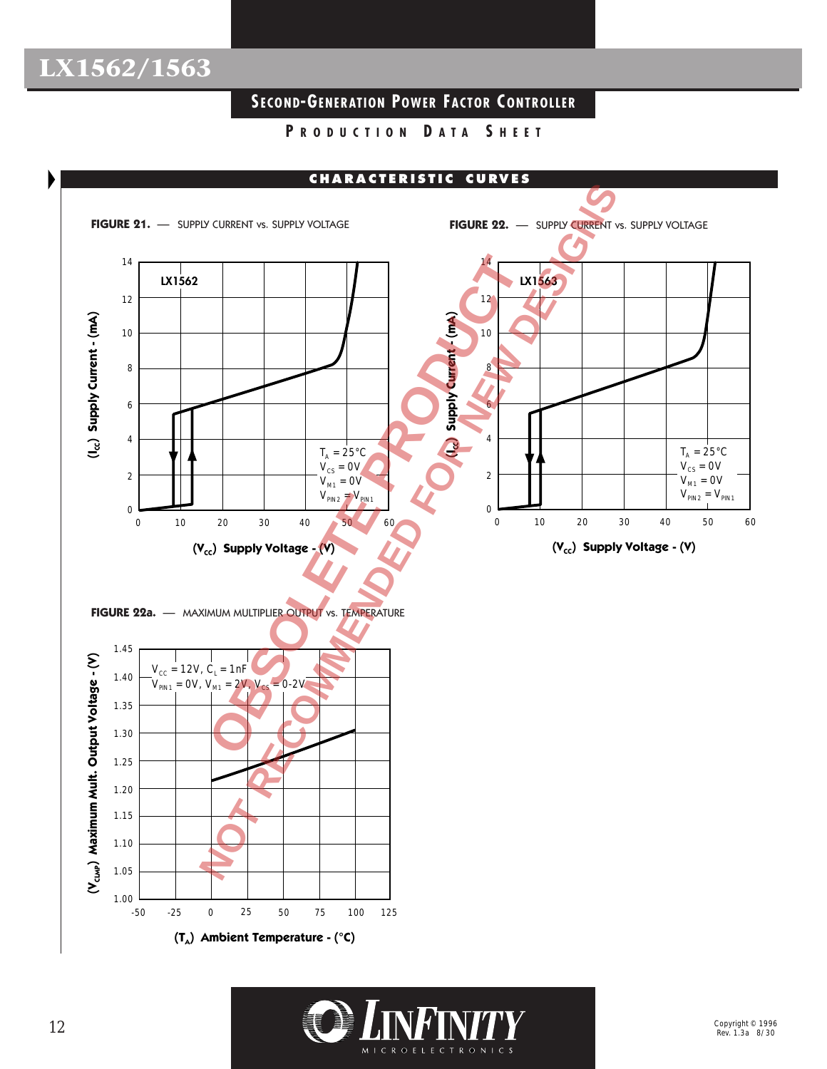## **SECOND-GENERATION POWER FACTOR C ONTROLLER**



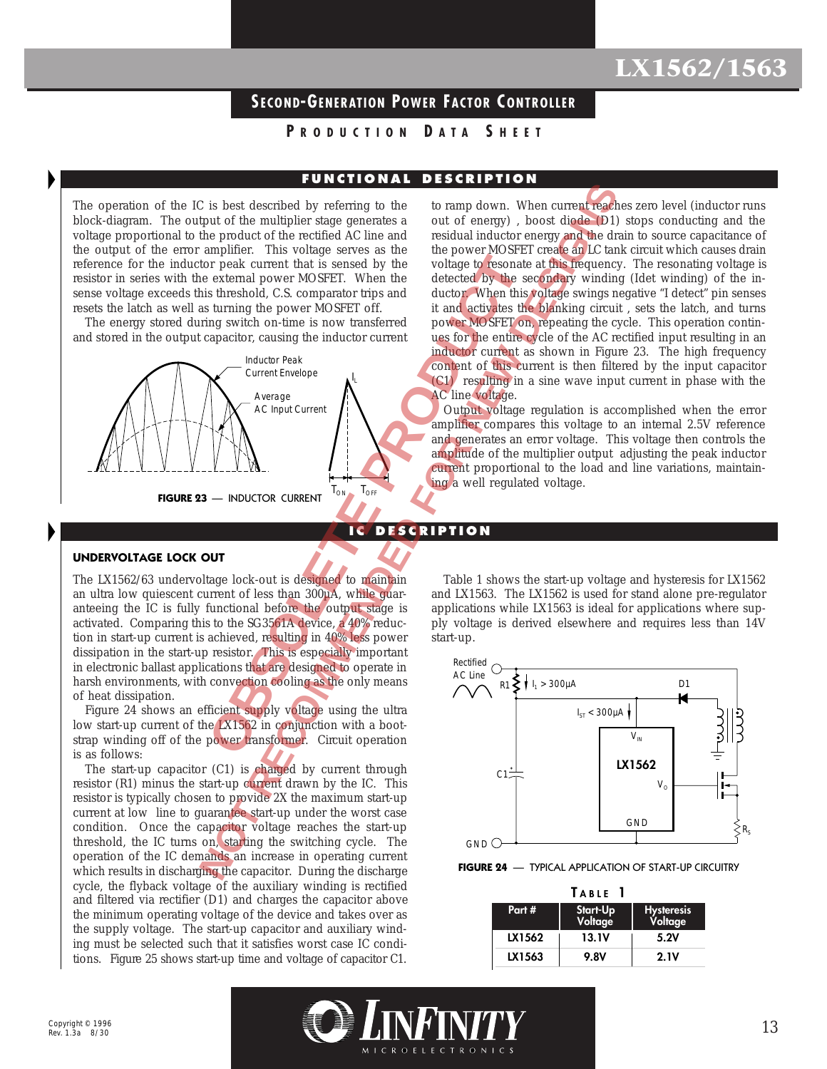## **SECOND-GENERATION POWER FACTOR C ONTROLLER**

### **P RODUCTION D ATA S HEET**

### **FUNCTIONAL DESCRIPTION**

**IC DESCRIPTION**

The operation of the IC is best described by referring to the block-diagram. The output of the multiplier stage generates a voltage proportional to the product of the rectified AC line and the output of the error amplifier. This voltage serves as the reference for the inductor peak current that is sensed by the resistor in series with the external power MOSFET. When the sense voltage exceeds this threshold, C.S. comparator trips and resets the latch as well as turning the power MOSFET off.

The energy stored during switch on-time is now transferred and stored in the output capacitor, causing the inductor current



to ramp down. When current reaches zero level (inductor runs out of energy) , boost diode (D1) stops conducting and the residual inductor energy and the drain to source capacitance of the power MOSFET create an LC tank circuit which causes drain voltage to resonate at this frequency. The resonating voltage is detected by the secondary winding (Idet winding) of the inductor. When this voltage swings negative "I detect" pin senses it and activates the blanking circuit , sets the latch, and turns power MOSFET on, repeating the cycle. This operation continues for the entire cycle of the AC rectified input resulting in an inductor current as shown in Figure 23. The high frequency content of this current is then filtered by the input capacitor (C1) resulting in a sine wave input current in phase with the AC line voltage. C is best described by referring to the totany down. When current most<br>the product of the meditiple stage generates a out of energy b, nood dealer Dily<br>the median product of the reduced AC line and residual nature<br>or expe

Output voltage regulation is accomplished when the error amplifier compares this voltage to an internal 2.5V reference and generates an error voltage. This voltage then controls the amplitude of the multiplier output adjusting the peak inductor current proportional to the load and line variations, maintaining a well regulated voltage.

#### **UNDERVOLTAGE LOCK OUT**

The LX1562/63 undervoltage lock-out is designed to maintain an ultra low quiescent current of less than 300µA, while guaranteeing the IC is fully functional before the output stage is activated. Comparing this to the SG3561A device, a 40% reduction in start-up current is achieved, resulting in 40% less power dissipation in the start-up resistor. This is especially important in electronic ballast applications that are designed to operate in harsh environments, with convection cooling as the only means of heat dissipation.

Figure 24 shows an efficient supply voltage using the ultra low start-up current of the LX1562 in conjunction with a bootstrap winding off of the power transformer. Circuit operation is as follows:

The start-up capacitor (C1) is charged by current through resistor (R1) minus the start-up current drawn by the IC. This resistor is typically chosen to provide 2X the maximum start-up current at low line to guarantee start-up under the worst case condition. Once the capacitor voltage reaches the start-up threshold, the IC turns on, starting the switching cycle. The operation of the IC demands an increase in operating current which results in discharging the capacitor. During the discharge cycle, the flyback voltage of the auxiliary winding is rectified and filtered via rectifier (D1) and charges the capacitor above the minimum operating voltage of the device and takes over as the supply voltage. The start-up capacitor and auxiliary winding must be selected such that it satisfies worst case IC conditions. Figure 25 shows start-up time and voltage of capacitor C1.

Table 1 shows the start-up voltage and hysteresis for LX1562 and LX1563. The LX1562 is used for stand alone pre-regulator applications while LX1563 is ideal for applications where supply voltage is derived elsewhere and requires less than 14V start-up.



#### **FIGURE 24** — TYPICAL APPLICATION OF START-UP CIRCUITRY

| TABLE  |                     |                       |  |  |  |  |
|--------|---------------------|-----------------------|--|--|--|--|
| Part # | Start-Up<br>Voltage | Hysteresis<br>Voltage |  |  |  |  |
| LX1562 | 13.IV               | 5.2V                  |  |  |  |  |
| LX1563 | 9.8V                | 2.1V                  |  |  |  |  |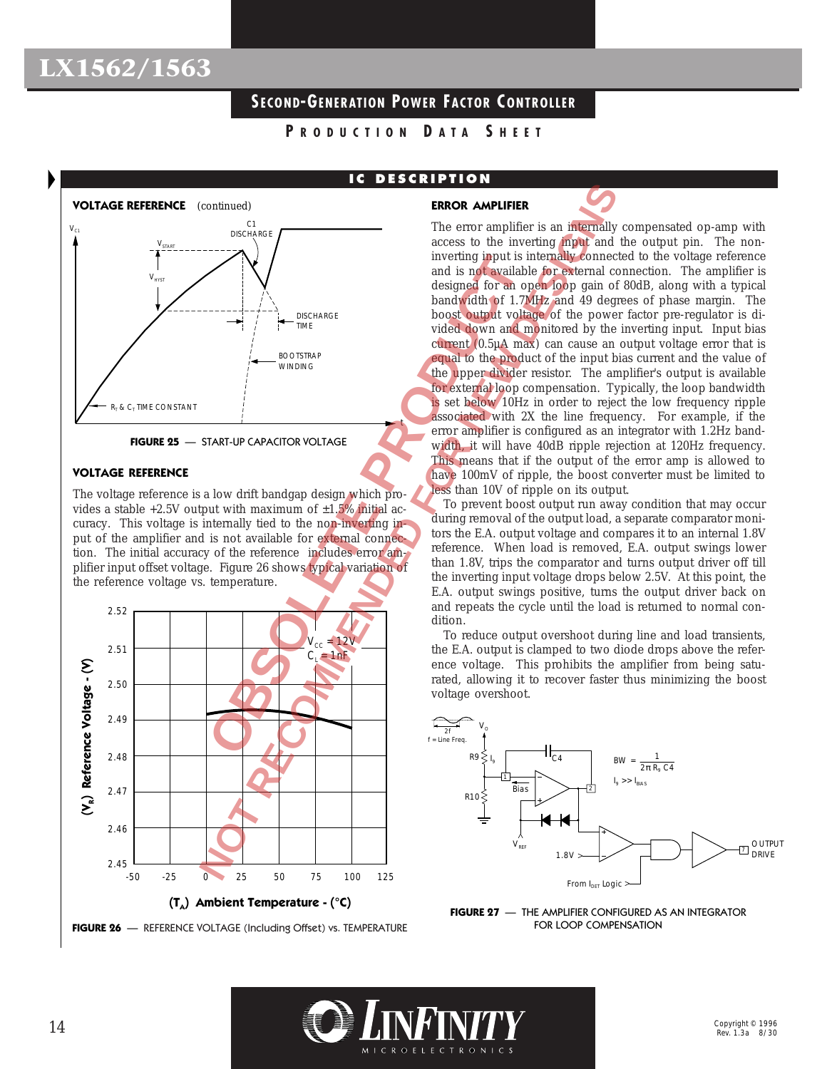## **SECOND-GENERATION POWER FACTOR C ONTROLLER**

**P RODUCTION D ATA S HEET**

# **VOLTAGE REFERENCE** (continued)  $\bm{\mathsf{V}}_{\texttt{H}\texttt{YST}}$  $C<sub>1</sub>$ **DISCHARGE**  $V_{\text{SIART}}$ **BOOTSTRAP** WINDING  $R<sub>T</sub>$  &  $C<sub>T</sub>$  time constant  $V_{C1}$ t **DISCHARGE** TIME Metring imput<br>
Metricular and is not available distinct in the BLA output of 1.7<br>
DISCHARGE<br>
DISCHARGE<br>
DISCHARGE<br>
DISCHARGE<br>
DISCHARGE<br>
DISCHARGE<br>
DISCHARGE<br>
COOTSTRAP<br>
WINDING<br>
TART-UP CAPACITOR VOLTAGE<br>
TART-UP CAPACITO

**FIGURE 25** — START-UP CAPACITOR VOLTAGE

### **VOLTAGE REFERENCE**

The voltage reference is a low drift bandgap design which provides a stable  $+2.5V$  output with maximum of  $\pm 1.5\%$  initial accuracy. This voltage is internally tied to the non-inverting input of the amplifier and is not available for external connection. The initial accuracy of the reference includes error amplifier input offset voltage. Figure 26 shows typical variation of the reference voltage vs. temperature.



**FIGURE 26** — REFERENCE VOLTAGE (Including Offset) vs. TEMPERATURE

### **IC DESCRIPTION**

### **ERROR AMPLIFIER**



The error amplifier is an internally compensated op-amp with access to the inverting input and the output pin. The noninverting input is internally connected to the voltage reference and is not available for external connection. The amplifier is designed for an open loop gain of 80dB, along with a typical bandwidth of 1.7MHz and 49 degrees of phase margin. The boost output voltage of the power factor pre-regulator is divided down and monitored by the inverting input. Input bias current (0.5µA max) can cause an output voltage error that is equal to the product of the input bias current and the value of the upper divider resistor. The amplifier's output is available for external loop compensation. Typically, the loop bandwidth is set below 10Hz in order to reject the low frequency ripple associated with 2X the line frequency. For example, if the error amplifier is configured as an integrator with 1.2Hz bandwidth, it will have 40dB ripple rejection at 120Hz frequency. This means that if the output of the error amp is allowed to have 100mV of ripple, the boost converter must be limited to less than 10V of ripple on its output.

To prevent boost output run away condition that may occur during removal of the output load, a separate comparator monitors the E.A. output voltage and compares it to an internal 1.8V reference. When load is removed, E.A. output swings lower than 1.8V, trips the comparator and turns output driver off till the inverting input voltage drops below 2.5V. At this point, the E.A. output swings positive, turns the output driver back on and repeats the cycle until the load is returned to normal condition.

To reduce output overshoot during line and load transients, the E.A. output is clamped to two diode drops above the reference voltage. This prohibits the amplifier from being saturated, allowing it to recover faster thus minimizing the boost voltage overshoot.



**FIGURE 27** — THE AMPLIFIER CONFIGURED AS AN INTEGRATOR FOR LOOP COMPENSATION

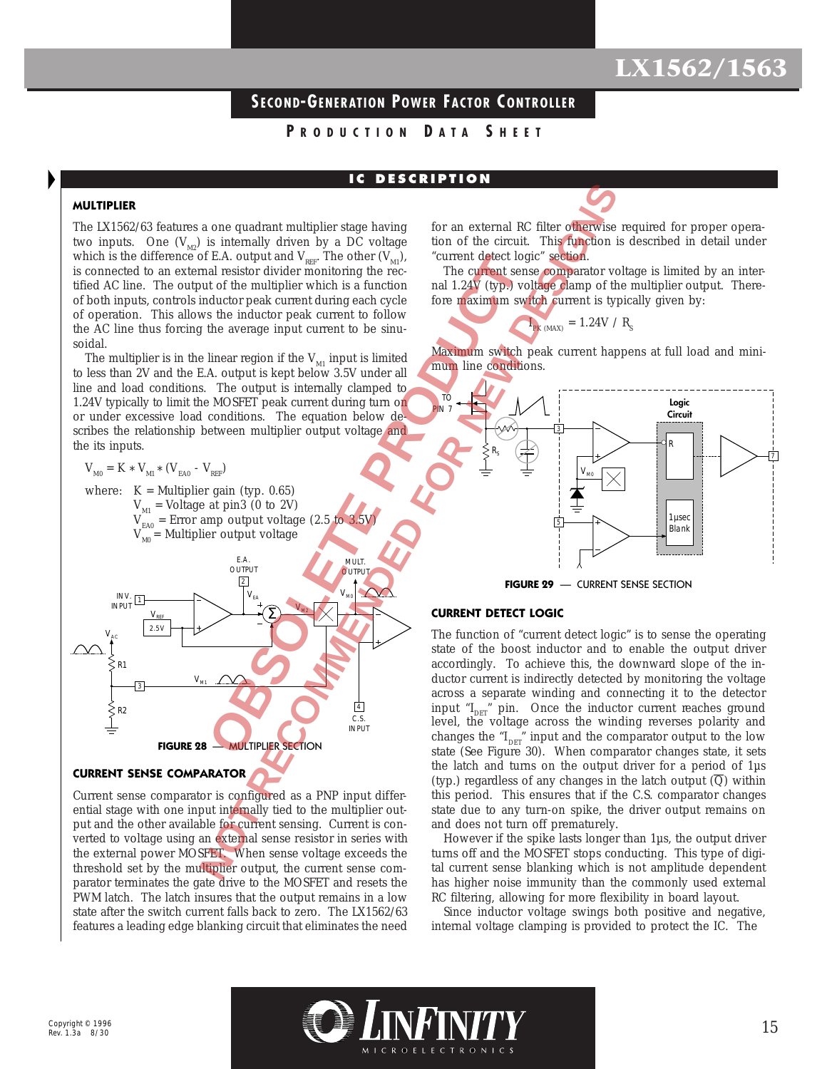## **SECOND-GENERATION POWER FACTOR C ONTROLLER**

### **P RODUCTION D ATA S HEET**

### **IC DESCRIPTION**

#### **MULTIPLIER**

The LX1562/63 features a one quadrant multiplier stage having two inputs. One  $(V_{M2})$  is internally driven by a DC voltage which is the difference of E.A. output and  $V_{\text{RFF}}$ . The other  $(V_{\text{M1}})$ , is connected to an external resistor divider monitoring the rectified AC line. The output of the multiplier which is a function of both inputs, controls inductor peak current during each cycle of operation. This allows the inductor peak current to follow the AC line thus forcing the average input current to be sinusoidal.

The multiplier is in the linear region if the  $V_{M1}$  input is limited to less than 2V and the E.A. output is kept below 3.5V under all line and load conditions. The output is internally clamped to 1.24V typically to limit the MOSFET peak current during turn on or under excessive load conditions. The equation below describes the relationship between multiplier output voltage and the its inputs.

$$
\rm V_{_{M0}} = K \, * \, V_{_{M1}} \, * \, (V_{_{EAO}} \, - \, V_{_{REF}})
$$

where:  $K =$  Multiplier gain (typ. 0.65)  $V_{\text{M1}}$  = Voltage at pin3 (0 to 2V)  $V_{EAO}$  = Error amp output voltage (2.5 to 3.5V)  $V_{M0}$  = Multiplier output voltage



#### **CURRENT SENSE COMPARATOR**

Current sense comparator is configured as a PNP input differential stage with one input internally tied to the multiplier output and the other available for current sensing. Current is converted to voltage using an external sense resistor in series with the external power MOSFET. When sense voltage exceeds the threshold set by the multiplier output, the current sense comparator terminates the gate drive to the MOSFET and resets the PWM latch. The latch insures that the output remains in a low state after the switch current falls back to zero. The LX1562/63 features a leading edge blanking circuit that eliminates the need

for an external RC filter otherwise required for proper operation of the circuit. This function is described in detail under "current detect logic" section.

The current sense comparator voltage is limited by an internal 1.24V (typ.) voltage clamp of the multiplier output. Therefore maximum switch current is typically given by:

$$
I_{PK\ (MAX)}\,=\,1.24V\,\,\text{/}\,\,R_{_S}
$$

Maximum switch peak current happens at full load and minimum line conditions.



**FIGURE 29** — CURRENT SENSE SECTION

#### **CURRENT DETECT LOGIC**

The function of "current detect logic" is to sense the operating state of the boost inductor and to enable the output driver accordingly. To achieve this, the downward slope of the inductor current is indirectly detected by monitoring the voltage across a separate winding and connecting it to the detector input " $I_{\text{DET}}$ " pin. Once the inductor current reaches ground level, the voltage across the winding reverses polarity and changes the " $I_{\text{DET}}$ " input and the comparator output to the low state (See Figure 30). When comparator changes state, it sets the latch and turns on the output driver for a period of 1µs (typ.) regardless of any changes in the latch output  $\overline{Q}$ ) within this period. This ensures that if the C.S. comparator changes state due to any turn-on spike, the driver output remains on and does not turn off prematurely.

However if the spike lasts longer than 1µs, the output driver turns off and the MOSFET stops conducting. This type of digital current sense blanking which is not amplitude dependent has higher noise immunity than the commonly used external RC filtering, allowing for more flexibility in board layout.

Since inductor voltage swings both positive and negative, internal voltage clamping is provided to protect the IC. The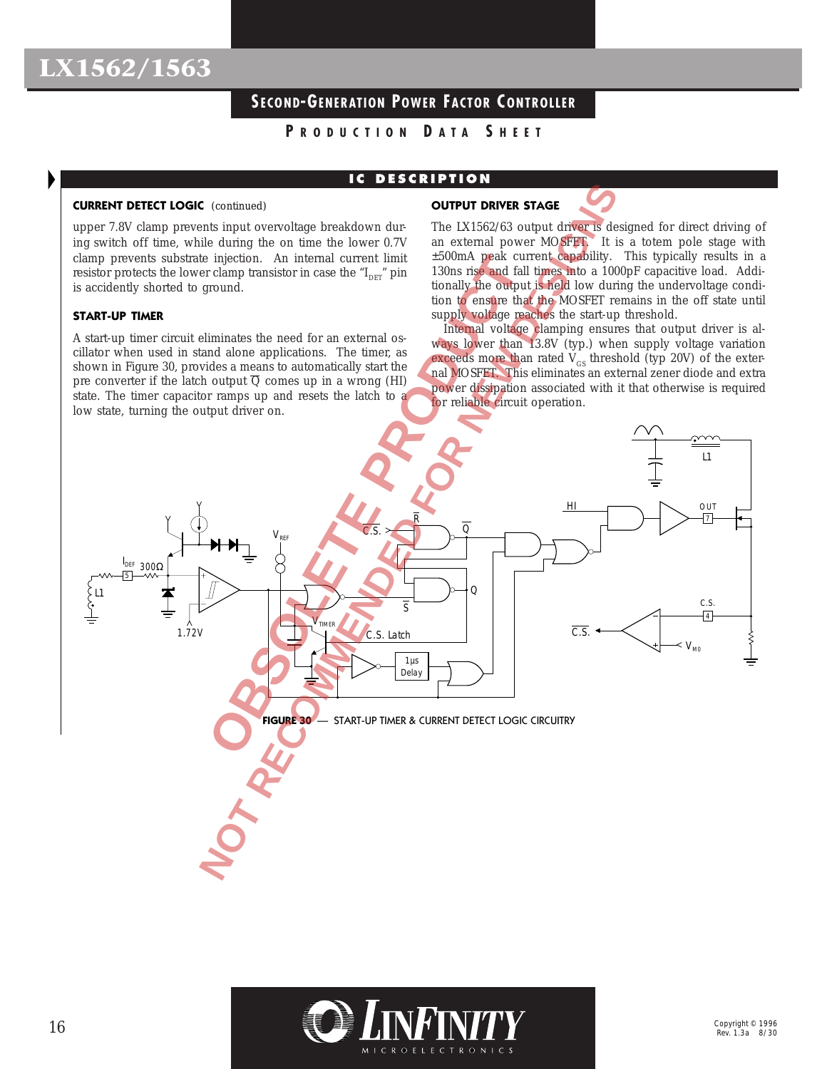## **SECOND-GENERATION POWER FACTOR C ONTROLLER**

**P RODUCTION D ATA S HEET**

## **IC DESCRIPTION**

#### **CURRENT DETECT LOGIC** (continued)

upper 7.8V clamp prevents input overvoltage breakdown during switch off time, while during the on time the lower 0.7V clamp prevents substrate injection. An internal current limit resistor protects the lower clamp transistor in case the " $I<sub>DET</sub>$ " pin is accidently shorted to ground.

#### **START-UP TIMER**

A start-up timer circuit eliminates the need for an external oscillator when used in stand alone applications. The timer, as shown in Figure 30, provides a means to automatically start the pre converter if the latch output  $\overline{Q}$  comes up in a wrong (HI) state. The timer capacitor ramps up and resets the latch to a low state, turning the output driver on.

#### **OUTPUT DRIVER STAGE**



The LX1562/63 output driver is designed for direct driving of an external power MOSFET. It is a totem pole stage with ±500mA peak current capability. This typically results in a 130ns rise and fall times into a 1000pF capacitive load. Additionally the output is held low during the undervoltage condition to ensure that the MOSFET remains in the off state until supply voltage reaches the start-up threshold.

Internal voltage clamping ensures that output driver is always lower than 13.8V (typ.) when supply voltage variation exceeds more than rated  $V_{GS}$  threshold (typ 20V) of the external MOSFET. This eliminates an external zener diode and extra power dissipation associated with it that otherwise is required for reliable circuit operation.



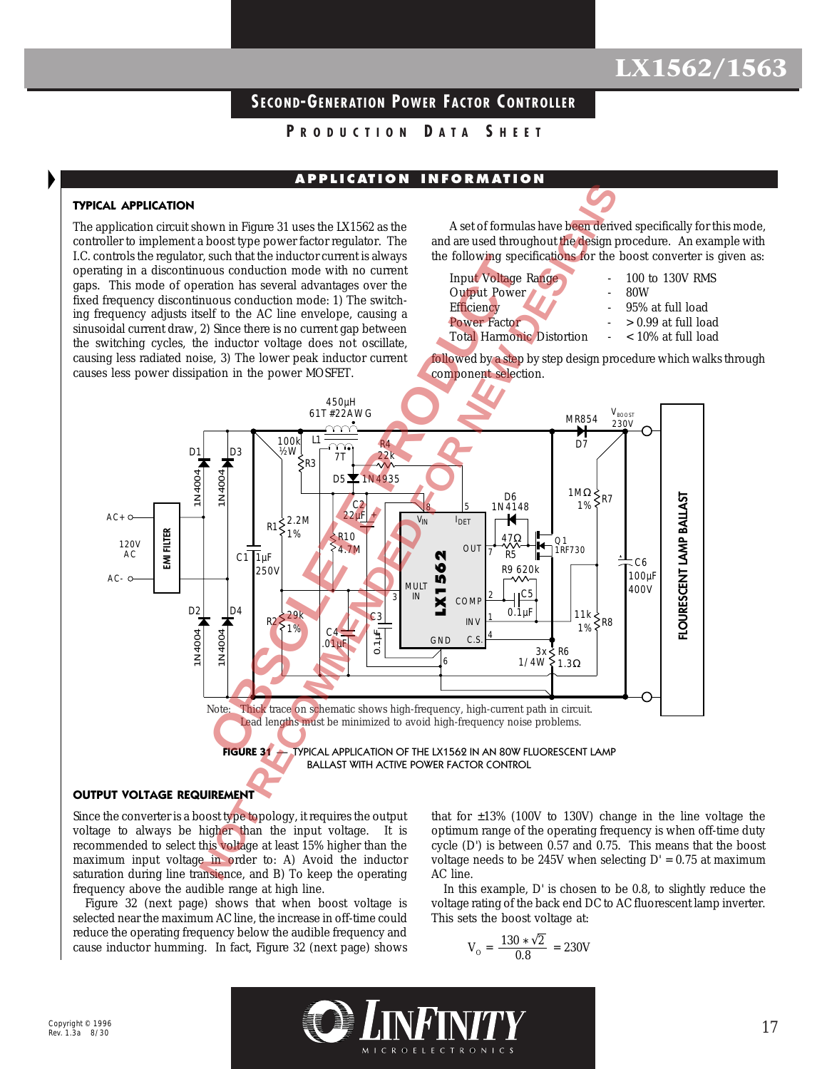## **SECOND-GENERATION POWER FACTOR C ONTROLLER**

**P RODUCTION D ATA S HEET**

### **A P P L I C AT IO N I N FO RM AT IO N**

### **TYPICAL APPLICATION**

The application circuit shown in Figure 31 uses the LX1562 as the controller to implement a boost type power factor regulator. The I.C. controls the regulator, such that the inductor current is always operating in a discontinuous conduction mode with no current gaps. This mode of operation has several advantages over the fixed frequency discontinuous conduction mode: 1) The switching frequency adjusts itself to the AC line envelope, causing a sinusoidal current draw, 2) Since there is no current gap between the switching cycles, the inductor voltage does not oscillate, causing less radiated noise, 3) The lower peak inductor current causes less power dissipation in the power MOSFET.

A set of formulas have been derived specifically for this mode, and are used throughout the design procedure. An example with the following specifications for the boost converter is given as:

Input Voltage Range - 100 to 130V RMS<br>Output Power Output Power Efficiency  $\sim$  95% at full load Power Factor - > 0.99 at full load Total Harmonic Distortion - < 10% at full load

- 
- 
- 
- 
- 

followed by a step by step design procedure which walks through component selection.



#### **OUTPUT VOLTAGE REQUIREMENT**

Since the converter is a boost type topology, it requires the output voltage to always be higher than the input voltage. It is recommended to select this voltage at least 15% higher than the maximum input voltage in order to: A) Avoid the inductor saturation during line transience, and B) To keep the operating frequency above the audible range at high line.

Figure 32 (next page) shows that when boost voltage is selected near the maximum AC line, the increase in off-time could reduce the operating frequency below the audible frequency and cause inductor humming. In fact, Figure 32 (next page) shows that for  $\pm 13\%$  (100V to 130V) change in the line voltage the optimum range of the operating frequency is when off-time duty cycle (D') is between 0.57 and 0.75. This means that the boost voltage needs to be 245V when selecting  $D' = 0.75$  at maximum AC line.

In this example, D' is chosen to be 0.8, to slightly reduce the voltage rating of the back end DC to AC fluorescent lamp inverter. This sets the boost voltage at:

$$
V_{\rm o} = \frac{130 \times \sqrt{2}}{0.8} = 230V
$$

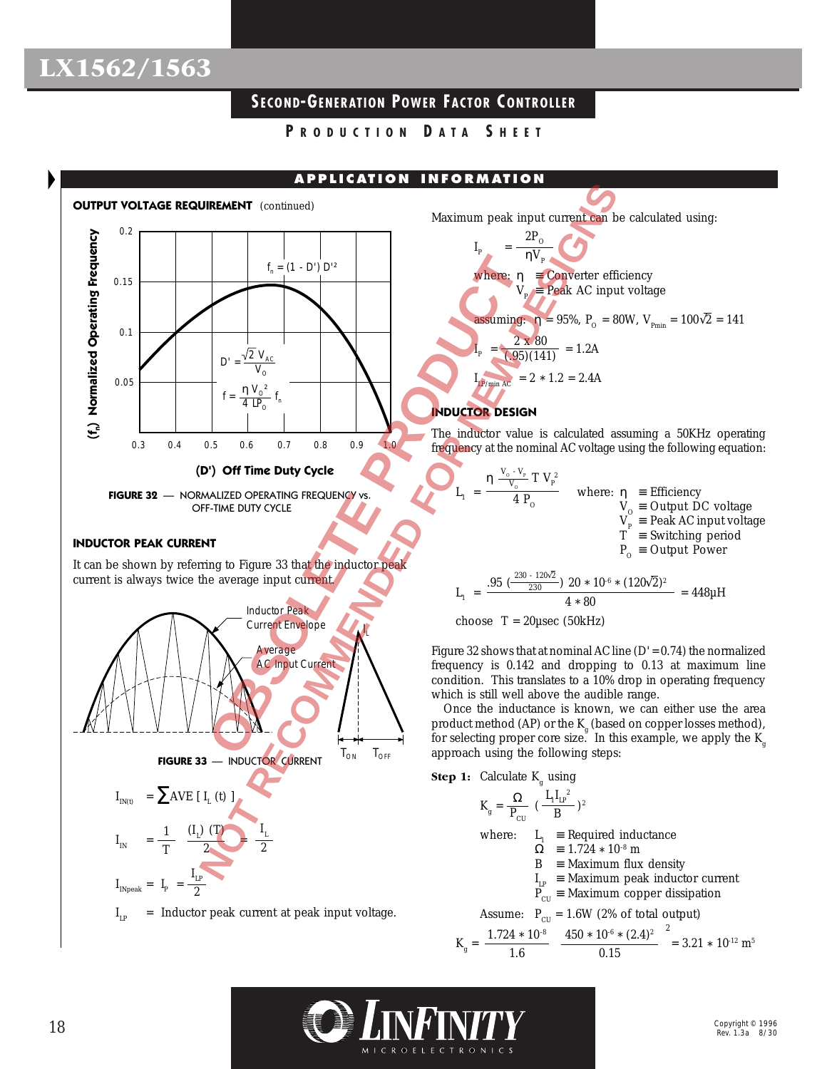## **SECOND-GENERATION POWER FACTOR C ONTROLLER**

**P RODUCTION D ATA S HEET**

### **APPLICATION INFORMATION**



### **INDUCTOR PEAK CURRENT**

It can be shown by referring to Figure 33 that the inductor peak current is always twice the average input current.



Maximum peak input current can be calculated using:

$$
I_{p} = \frac{2P_{\text{o}}}{\eta V_{p}}
$$
  
where:  $\eta = \text{Converter efficiency}$   
 $V_{p} = \text{Peak AC input voltage}$   
assuming:  $\eta = 95\%$ ,  $P_{\text{o}} = 80W$ ,  $V_{\text{Pmin}} = 100\sqrt{2} = 141$   

$$
I_{p} = \frac{2 \times 80}{(.95)(141)} = 1.2A
$$
  

$$
I_{p \text{F/min AC}} = 2 * 1.2 = 2.4A
$$

### **INDUCTOR DESIGN**

The inductor value is calculated assuming a 50KHz operating frequency at the nominal AC voltage using the following equation:

 $L_1 = \frac{Q}{4 P}$  where: η = Efficiency  $V_{O}$  = Output DC voltage  $V_{\text{p}} \equiv$  Peak AC input voltage T ≡ Switching period  $P_{O}$  = Output Power η  $\frac{v_0 - v_p}{V_0} T V_p^2$  $4P_{\odot}$  $\rm V_{\rm o}$  -  $\rm V_{\rm p}$  $V_{_{\rm O}}$ .95  $\left(\frac{230-120\sqrt{2}}{230}\right)$  20 \* 10<sup>-6</sup> \* (120 $\sqrt{2}$ )<sup>2</sup>

$$
L_1 = \frac{.95 \left( \frac{ }{230} \right) 20 * 10^{6} * (120 \sqrt{2})^2}{4 * 80} = 448 \mu H
$$

choose  $T = 20\mu$ sec (50kHz)

Figure 32 shows that at nominal AC line  $(D' = 0.74)$  the normalized frequency is 0.142 and dropping to 0.13 at maximum line condition. This translates to a 10% drop in operating frequency which is still well above the audible range.

Once the inductance is known, we can either use the area product method (AP) or the  $K_g$  (based on copper losses method), for selecting proper core size. In this example, we apply the  $K_{\sigma}$ approach using the following steps:



1.6

$$
K_{g} = \frac{\Omega}{P_{CU}} \left( \frac{L_{1}L_{P}^{2}}{B} \right)^{2}
$$
  
where:  $L_{1} = \text{Required inductance}$   
 $\Omega = 1.724 \times 10^{-8} \text{ m}$   
 $B = \text{Maximum flux density}$   
 $I_{LP} = \text{Maximum peak inductor current}$   
 $P_{CU} = \text{Maximum copper dissipation}$   
Assume:  $P_{CU} = 1.6W$  (2% of total output)  
 $K_{g} = \frac{1.724 \times 10^{-8}}{1.6} \left[ \frac{450 \times 10^{-6} \times (2.4)^{2}}{0.15} \right]^{2} = 3.21 \times 10^{-12} \text{ m}^{5}$ 

 $\begin{bmatrix} 0.15 \end{bmatrix}$ 

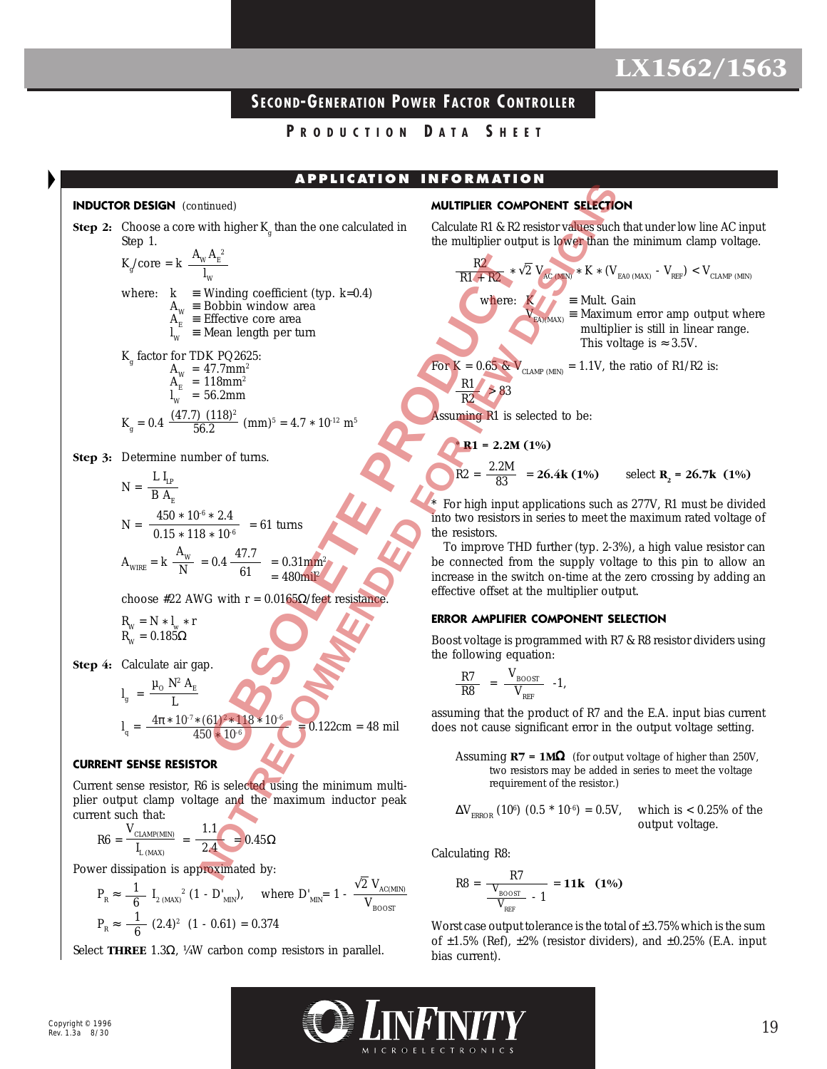## **SECOND-GENERATION POWER FACTOR C ONTROLLER**

**P RODUCTION D ATA S HEET**

**A P P L I C AT IO N I N FO RM AT IO N**

#### **INDUCTOR DESIGN** (continued)

**INDUCTOR DESIGN** (continued)  
\n**Step 2:** Choose a core with higher K<sub>g</sub> than the one calculated in  
\nStep 2: Choose a core with higher K<sub>g</sub> than the one calculated in  
\nStep 1. 
$$
K_g
$$
 (core = k  $\frac{A_w}{W} = \frac{R^2}{W}$   
\nwhere:  $k = W$  winding coefficient (type, k=0.4)  
\n $A_g = \text{BfRetive core area}$   
\n $\frac{R}{W} = \text{Bholtin window area}$   
\n $K_g$  factor for TDRk PQ265:  
\n $K_g = 0.4 \frac{(47.7) (118)^2}{56.2}$  (mm)<sup>5</sup> = 4.7 × 10<sup>12</sup> m<sup>5</sup>  
\n $N = \frac{L I_v}{B A_g}$   
\n $N = \frac{L I_v}{B A_g} = \frac{450 * 10^4 * 2.4}{56.2}$  = 61 turns  
\n $N = \frac{4.50 * 10^4 * 2.4}{56.2}$  = 61 turns  
\n $N = \frac{4.50 * 10^4 * 2.4}{56.2}$  = 61 turns  
\n $N = \frac{1.1}{W}$  = 563 cm  
\n $\frac{4.50 * 10^4 * 2.4}{61} = 61$  turns  
\n $R_w = N * I_w * r$   
\n $R_w = 0.185 \Omega$   
\n**Step 4:** Calculate  $u$  in the system of  
\n $R_w = 0.185 \Omega$   
\n**Step 5.** Calculate  $u$  in the system of  
\n $R_w = \frac{N}{N}$  = 0.4  $\frac{47.7}{61} = 0.31$  mm<sup>2</sup>  
\n $I_u = \frac{4\pi * 10^{74} (61)^{2} * 118 * 10^{4}}{450 * 10^{4}}$   
\n $I_u = \frac{4\pi * 10^{74} (61)^{2} * 118 * 10^{4}}{450 * 10^{4}}$   
\n $I_u = \frac{4\pi * 10^{74} (61)^{2} * 118 *$ 

**Step 3:** Determine number of turns.

$$
N = \frac{L I_{LP}}{B A_E}
$$
  
\n
$$
N = \frac{450 * 10^{-6} * 2.4}{0.15 * 118 * 10^{-6}} = 61 \text{ turns}
$$
  
\n
$$
A_{\text{WIRE}} = k \frac{A_w}{N} = 0.4 \frac{47.7}{61} = 0.31 \text{mm}^2
$$
  
\n= 480 mil<sup>2</sup>

choose #22 AWG with  $r = 0.0165Ω/feet$  resistance.

$$
R_{\rm W} = N * l_{\rm w} * r
$$
  

$$
R_{\rm W} = 0.185\Omega
$$

**Step 4:** Calculate air gap.

$$
l_{g} = \frac{\mu_{0} N^{2} A_{E}}{L}
$$
  
\n
$$
l_{q} = \frac{4\pi * 10^{-7} * (61)^{2} * 118 * 10^{-6}}{450 * 10^{-6}}
$$
  
\n30.122cm = 48 mil

#### **CURRENT SENSE RESISTOR**

Current sense resistor, R6 is selected using the minimum multiplier output clamp voltage and the maximum inductor peak current such that:

$$
R6 = \frac{V_{\text{CLAMP(MIN)}}}{I_{L \text{ (MAX)}}} = \frac{1.1}{2.4} = 0.45 \Omega
$$

Power dissipation is approximated by:

$$
P_{R} \approx \frac{1}{6} I_{2 \text{ (MAX)}}^{2} (1 - D'_{MN}), \quad \text{where } D'_{MN} = 1 - \frac{\sqrt{2} V_{AC(MIN)}}{V_{BOOST}}
$$
  

$$
P_{R} \approx \frac{1}{6} (2.4)^{2} (1 - 0.61) = 0.374
$$

Select **THREE** 1.3Ω, ¼W carbon comp resistors in parallel.

### **MULTIPLIER COMPONENT SELECTION**

Calculate R1 & R2 resistor values such that under low line AC input the multiplier output is lower than the minimum clamp voltage.

$$
\frac{R2}{R1 + R2} \times \sqrt{2} V_{AC}
$$
 and 
$$
V_{EAO \text{ (MAX)}} = Mult. Gain
$$
  
\nwhere:  
\n
$$
V_{EAO \text{ (MAX)}} = Maximum error amp output where\nmultiplier is still in linear range.\nThis voltage is  $\approx 3.5V$ .  
\n
$$
K = 0.65 \& V_{GUP} = 1.1V
$$
 the ratio of R1/R2 is:
$$

For K =  $0.65$  &  $V_{CLAMP(MIN)} = 1.1V$ , the ratio of R1/R2 is: R1

 > 83 R2

Assuming R1 is selected to be:

$$
R1 = 2.2M (1\%)
$$
  

$$
R2 = \frac{2.2M}{83} = 26.4k (1\%)
$$
 select  $R_2 = 26.7k (1\%)$ 

For high input applications such as 277V, R1 must be divided into two resistors in series to meet the maximum rated voltage of the resistors.

To improve THD further (typ. 2-3%), a high value resistor can be connected from the supply voltage to this pin to allow an increase in the switch on-time at the zero crossing by adding an effective offset at the multiplier output.

#### **ERROR AMPLIFIER COMPONENT SELECTION**

Boost voltage is programmed with R7 & R8 resistor dividers using the following equation:

$$
\frac{R7}{R8} = \frac{V_{\text{BOOST}}}{V_{\text{REF}}} -1,
$$

assuming that the product of R7 and the E.A. input bias current does not cause significant error in the output voltage setting.

Assuming **R7 = 1M**Ω (for output voltage of higher than 250V, two resistors may be added in series to meet the voltage requirement of the resistor.)

$$
\Delta V_{ERROR} (10^6) (0.5 * 10^6) = 0.5V, \quad \text{which is} < 0.25\% \text{ of the output voltage.}
$$

Calculating R8:

$$
R8 = \frac{R7}{\frac{V_{\text{BOOST}}}{V_{\text{REF}}} - 1} = 11k \quad (1\%)
$$

Worst case output tolerance is the total of  $\pm 3.75\%$  which is the sum of  $\pm 1.5\%$  (Ref),  $\pm 2\%$  (resistor dividers), and  $\pm 0.25\%$  (E.A. input bias current).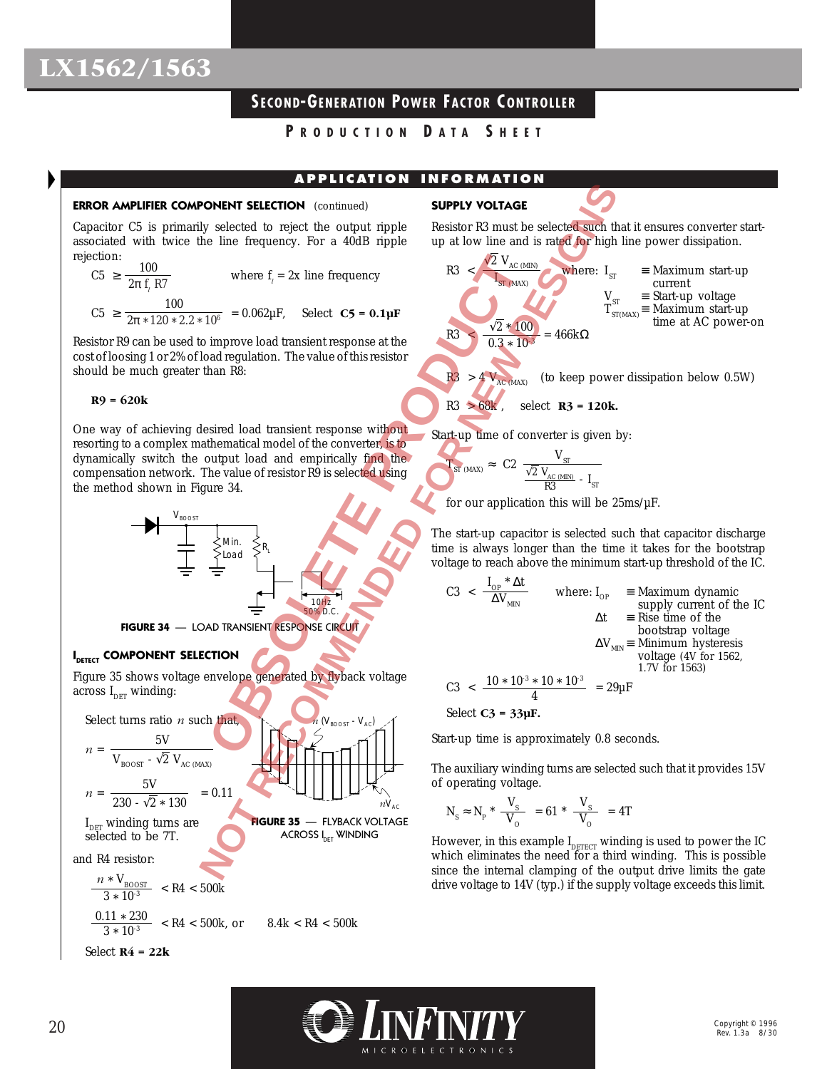## **SECOND-GENERATION POWER FACTOR C ONTROLLER**

**P RODUCTION D ATA S HEET**

### **APPLICATION INFORMATION**

#### **ERROR AMPLIFIER COMPONENT SELECTION** (continued)

Capacitor C5 is primarily selected to reject the output ripple associated with twice the line frequency. For a 40dB ripple rejection:

C5 
$$
\ge \frac{100}{2\pi f_i R7}
$$
 where  $f_i = 2x$  line frequency  
C5  $\ge \frac{100}{2\pi * 120 * 2.2 * 10^6} = 0.062 \mu F$ , Select **C5 = 0.1** $\mu$ F

Resistor R9 can be used to improve load transient response at the cost of loosing 1 or 2% of load regulation. The value of this resistor should be much greater than R8:

#### **R9 = 620k**

One way of achieving desired load transient response without resorting to a complex mathematical model of the converter, is to dynamically switch the output load and empirically find the compensation network. The value of resistor R9 is selected using the method shown in Figure 34.



### **I DETECT COMPONENT SELECTION**

Figure 35 shows voltage envelope generated by flyback voltage across  $I_{\text{DET}}$  winding:



#### **SUPPLY VOLTAGE**

Resistor R3 must be selected such that it ensures converter startup at low line and is rated for high line power dissipation.

R3 
$$
\begin{array}{rcl}\n\sqrt{2} & V_{AC \text{ (MIN)}} \\
\hline\nI_{ST \text{ (MAX)}} & \text{where: } I_{ST} & = \text{Maximum start-up} \\
& V_{ST} & = \text{Start-up voltage} \\
& T_{ST \text{ (MAX)}} & = \text{Maximum start-up} \\
R3 & < \frac{\sqrt{2} * 100}{0.3 * 10^{3}} = 466 \text{k}\Omega\n\end{array}
$$
\nR3 
$$
> 4 \text{ V}_{AC \text{ (MAX)}} \quad \text{(to keep power dissipation below 0.5W)}
$$

R3 > 68k , select **R3 = 120k.**

Start-up time of converter is given by:

$$
T_{ST \text{ (MAX)}} \approx \text{ C2 } \frac{V_{ST}}{\frac{\sqrt{2} V_{AC \text{ (MIN)}}}{R3} - I_{ST}}
$$

for our application this will be  $25 \text{ms}/\mu\text{F}$ .

The start-up capacitor is selected such that capacitor discharge time is always longer than the time it takes for the bootstrap voltage to reach above the minimum start-up threshold of the IC.

$$
C3 < \frac{I_{OP}^{*} \Delta t}{\Delta V_{MIN}}
$$
 where: I<sub>OP</sub> = Maximum dynamic  
supply current of the IC  

$$
\Delta t = \text{Rise time of thebootstrap voltage}
$$

$$
\Delta V_{MIN} = \text{Minimum hysteresis}
$$
 voltage (4V for 1562,  
1.7V for 1563)
$$
C3 < \frac{10 * 10^{-3} * 10 * 10^{-3}}{4} = 29 \mu F
$$

Select 
$$
C3 = 33 \mu F
$$
.

Start-up time is approximately 0.8 seconds.

The auxiliary winding turns are selected such that it provides 15V of operating voltage.

$$
N_s \approx N_p * \frac{V_s}{V_o} = 61 * \frac{V_s}{V_o} = 4T
$$

However, in this example  $I_{\text{perfect}}$  winding is used to power the IC which eliminates the need for a third winding. This is possible since the internal clamping of the output drive limits the gate drive voltage to 14V (typ.) if the supply voltage exceeds this limit.

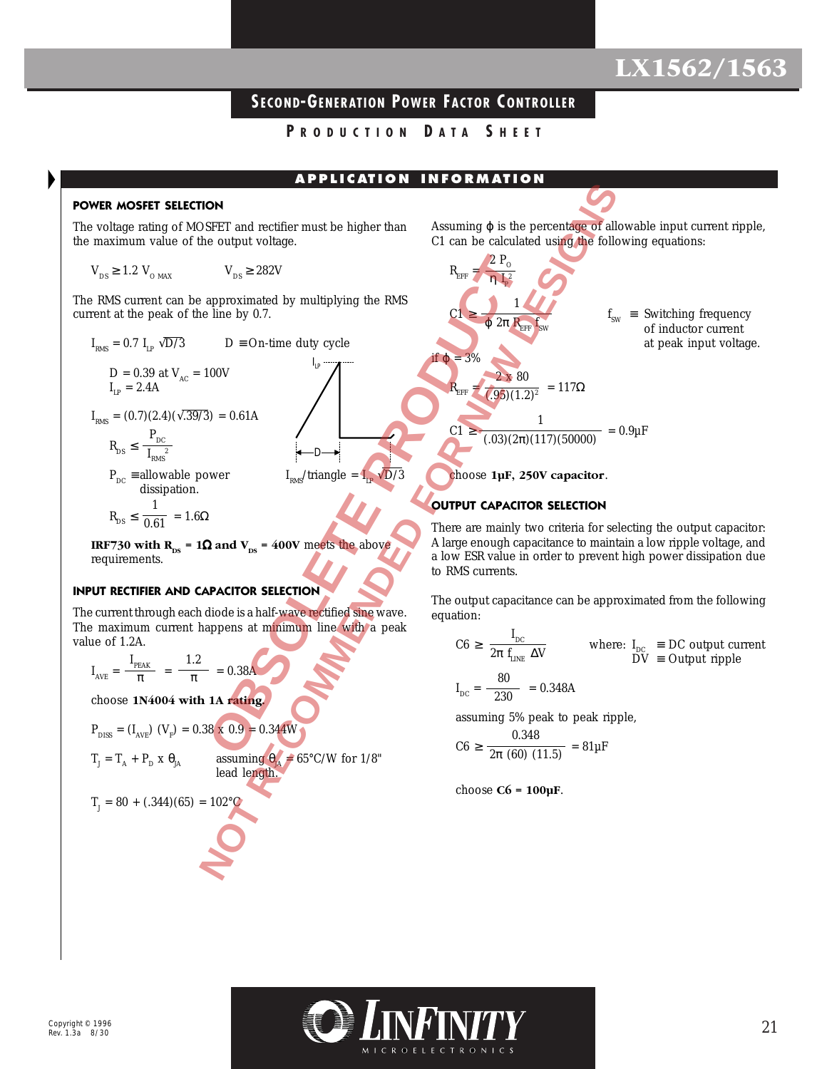## **SECOND-GENERATION POWER FACTOR C ONTROLLER**

**P RODUCTION D ATA S HEET**

**A P P L I C AT IO N I N FO RM AT IO N**

#### **POWER MOSFET SELECTION**

The voltage rating of MOSFET and rectifier must be higher than the maximum value of the output voltage.

$$
V_{DS} \ge 1.2 V_{OMAX} \qquad V_{DS} \ge 282V
$$

The RMS current can be approximated by multiplying the RMS current at the peak of the line by 0.7.

 $I_{\mathsf{LP}}$ 

D

$$
I_{RMS} = 0.7 I_{LP} \sqrt{D/3}
$$
 D = On-time duty cycle

$$
D = 0.39 \text{ at } V_{AC} = 100V
$$
  

$$
I_{LP} = 2.4A
$$

 $I_{RMS} = (0.7)(2.4)(\sqrt{0.39/3}) = 0.61A$  $P_{DC}$ 

$$
R_{DS} \leq \frac{BC}{I_{RMS}}
$$
  

$$
R_{DS} = \text{allowable}
$$

 $P_{DC} \equiv$  allowable power  $I_{RMS}/$ triangle =  $I_{LP} \sqrt{D/3}$ dissipation. 1

$$
\text{R}_{\text{DS}} \leq \frac{1}{0.61} = 1.6 \Omega
$$

**IRF730 with R<sub>DS</sub> = 1** $\Omega$  **and V<sub>DS</sub> = 400V** meets the above requirements.

#### **INPUT RECTIFIER AND CAPACITOR SELECTION**

The current through each diode is a half-wave rectified sine wave. The maximum current happens at minimum line with a peak value of 1.2A.

$$
I_{AVE} = \frac{I_{PEAK}}{\pi} = \frac{1.2}{\pi} = 0.38A
$$

choose **1N4004 with 1A rating.**

$$
P_{\text{DISS}} = (I_{\text{AVE}}) (V_{\text{F}}) = 0.38 \times 0.9 = 0.344 \text{W}
$$

$$
T_{_{J}}=T_{_{A}}+P_{_{D}}\;x\;\theta_{_{JA}}
$$

assuming  $\theta_A = 65^{\circ}$ C/W for 1/8" lead length.

$$
T_{J} = 80 + (.344)(65) = 102^{\circ}C
$$

Assuming  $\varphi$  is the percentage of allowable input current ripple, C1 can be calculated using the following equations:

REFF = C1 ≥ f SW ≡ Switching frequency of inductor current at peak input voltage. if ϕ = 3% REFF = = 117Ω C1 ≥ = 0.9µF choose **1µF, 250V capacitor**. 2 PO η IP 2 1 ϕ 2π REFF fSW 2 x 80 (.95)(1.2)2 1 (.03)(2π)(117)(50000) **OBSOLETE PRODUCT NOT RECOMMENDED FOR NEW DESIGNS** 

### **OUTPUT CAPACITOR SELECTION**

There are mainly two criteria for selecting the output capacitor: A large enough capacitance to maintain a low ripple voltage, and a low ESR value in order to prevent high power dissipation due to RMS currents.

The output capacitance can be approximated from the following equation:

$$
C6 \ge \frac{I_{DC}}{2\pi f_{LINE} \Delta V}
$$
 where:  $I_{DC} \equiv DC$  output current  
DV  $\equiv$  Output ripple  
 $I_{DC} = \frac{80}{230} = 0.348A$ 

assuming 5% peak to peak ripple,

$$
C6 \ge \frac{0.348}{2\pi (60) (11.5)} = 81 \mu F
$$

choose **C6 = 100µF**.

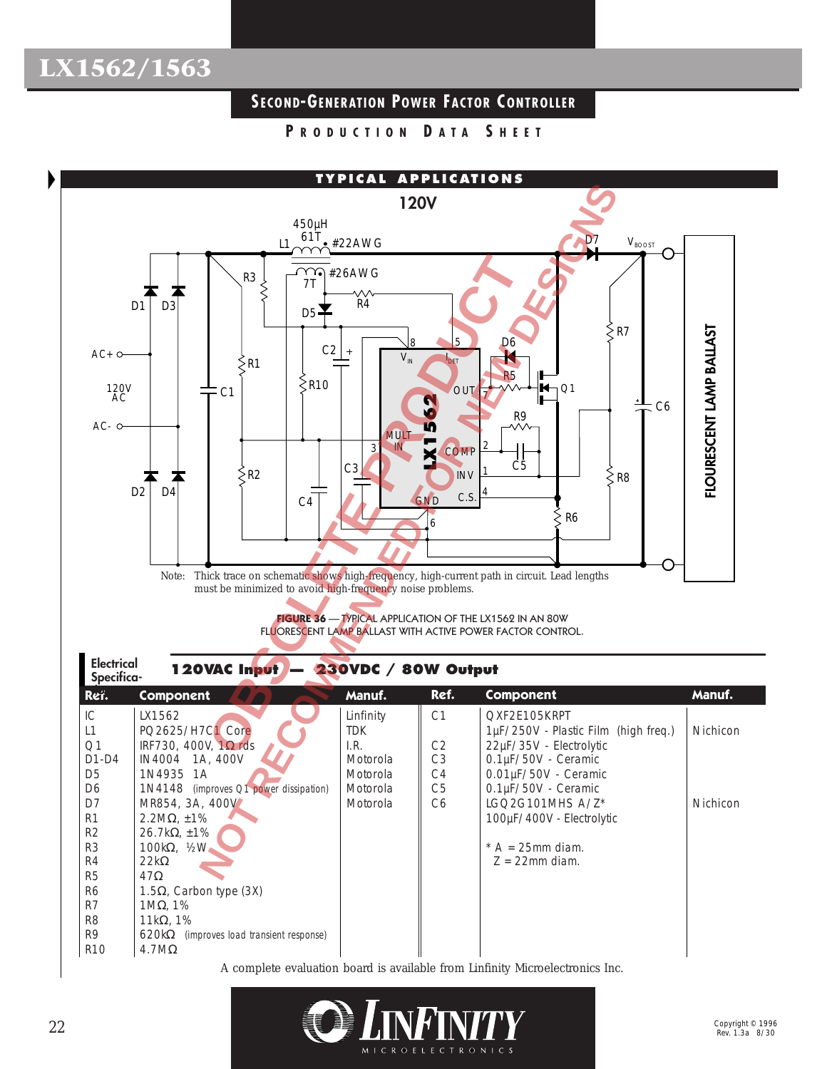## **SECOND-GENERATION POWER FACTOR C ONTROLLER**

**P RODUCTION D ATA S HEET**



A complete evaluation board is available from Linfinity Microelectronics Inc.

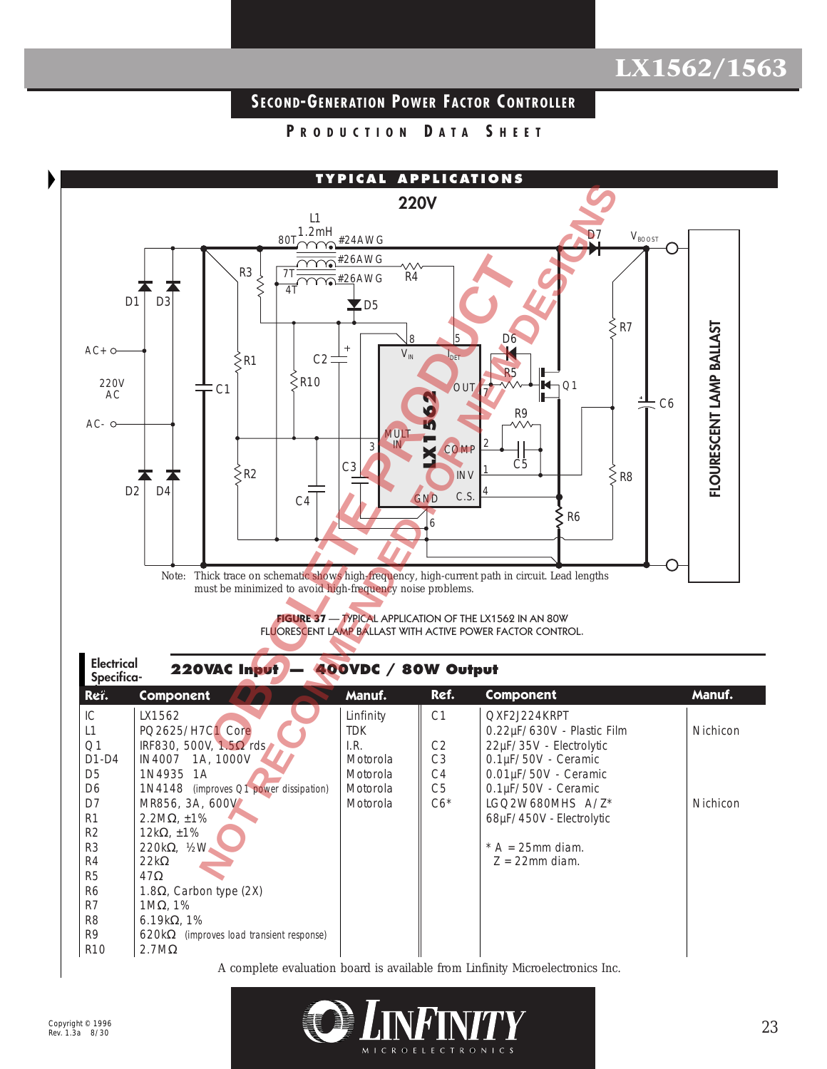## **SECOND-GENERATION POWER FACTOR C ONTROLLER**

**P RODUCTION D ATA S HEET**



Rev. 1.3a 8/30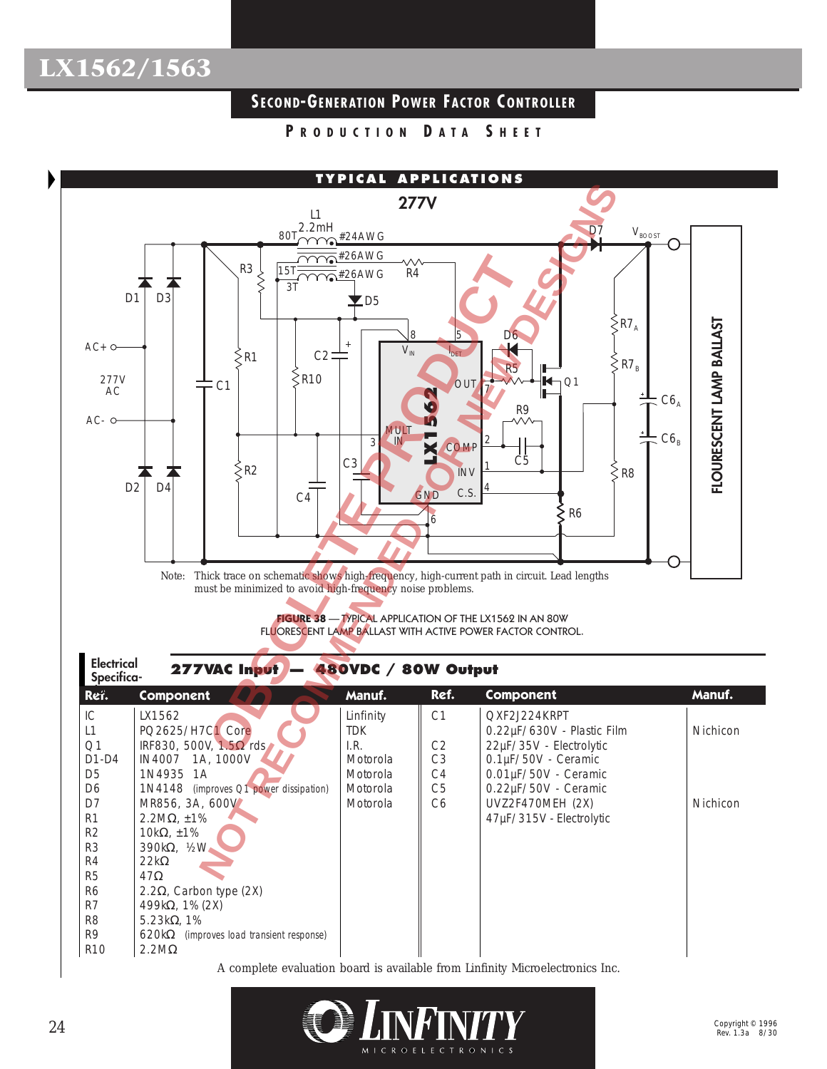## **SECOND-GENERATION POWER FACTOR C ONTROLLER**

**P RODUCTION D ATA S HEET**



A complete evaluation board is available from Linfinity Microelectronics Inc.